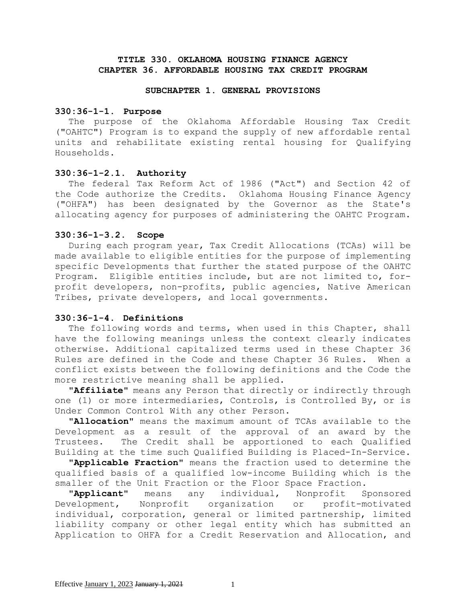# **TITLE 330. OKLAHOMA HOUSING FINANCE AGENCY CHAPTER 36. AFFORDABLE HOUSING TAX CREDIT PROGRAM**

#### **SUBCHAPTER 1. GENERAL PROVISIONS**

#### **330:36-1-1. Purpose**

The purpose of the Oklahoma Affordable Housing Tax Credit ("OAHTC") Program is to expand the supply of new affordable rental units and rehabilitate existing rental housing for Qualifying Households.

#### **330:36-1-2.1. Authority**

The federal Tax Reform Act of 1986 ("Act") and Section 42 of the Code authorize the Credits. Oklahoma Housing Finance Agency ("OHFA") has been designated by the Governor as the State's allocating agency for purposes of administering the OAHTC Program.

#### **330:36-1-3.2. Scope**

During each program year, Tax Credit Allocations (TCAs) will be made available to eligible entities for the purpose of implementing specific Developments that further the stated purpose of the OAHTC Program. Eligible entities include, but are not limited to, forprofit developers, non-profits, public agencies, Native American Tribes, private developers, and local governments.

# **330:36-1-4. Definitions**

The following words and terms, when used in this Chapter, shall have the following meanings unless the context clearly indicates otherwise. Additional capitalized terms used in these Chapter 36 Rules are defined in the Code and these Chapter 36 Rules. When a conflict exists between the following definitions and the Code the more restrictive meaning shall be applied.

**"Affiliate"** means any Person that directly or indirectly through one (1) or more intermediaries, Controls, is Controlled By, or is Under Common Control With any other Person.

**"Allocation"** means the maximum amount of TCAs available to the Development as a result of the approval of an award by the Trustees. The Credit shall be apportioned to each Qualified Building at the time such Qualified Building is Placed-In-Service.

**"Applicable Fraction"** means the fraction used to determine the qualified basis of a qualified low-income Building which is the smaller of the Unit Fraction or the Floor Space Fraction.

**"Applicant"** means any individual, Nonprofit Sponsored Development, Nonprofit organization or profit-motivated individual, corporation, general or limited partnership, limited liability company or other legal entity which has submitted an Application to OHFA for a Credit Reservation and Allocation, and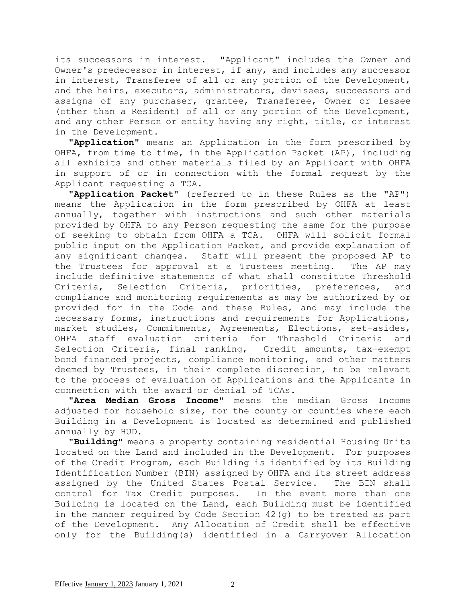its successors in interest. "Applicant" includes the Owner and Owner's predecessor in interest, if any, and includes any successor in interest, Transferee of all or any portion of the Development, and the heirs, executors, administrators, devisees, successors and assigns of any purchaser, grantee, Transferee, Owner or lessee (other than a Resident) of all or any portion of the Development, and any other Person or entity having any right, title, or interest in the Development.

**"Application"** means an Application in the form prescribed by OHFA, from time to time, in the Application Packet (AP), including all exhibits and other materials filed by an Applicant with OHFA in support of or in connection with the formal request by the Applicant requesting a TCA.

**"Application Packet"** (referred to in these Rules as the "AP") means the Application in the form prescribed by OHFA at least annually, together with instructions and such other materials provided by OHFA to any Person requesting the same for the purpose of seeking to obtain from OHFA a TCA. OHFA will solicit formal public input on the Application Packet, and provide explanation of any significant changes. Staff will present the proposed AP to the Trustees for approval at a Trustees meeting. The AP may include definitive statements of what shall constitute Threshold Criteria, Selection Criteria, priorities, preferences, and compliance and monitoring requirements as may be authorized by or provided for in the Code and these Rules, and may include the necessary forms, instructions and requirements for Applications, market studies, Commitments, Agreements, Elections, set-asides, OHFA staff evaluation criteria for Threshold Criteria and Selection Criteria, final ranking, Credit amounts, tax-exempt bond financed projects, compliance monitoring, and other matters deemed by Trustees, in their complete discretion, to be relevant to the process of evaluation of Applications and the Applicants in connection with the award or denial of TCAs.

**"Area Median Gross Income"** means the median Gross Income adjusted for household size, for the county or counties where each Building in a Development is located as determined and published annually by HUD.

**"Building"** means a property containing residential Housing Units located on the Land and included in the Development. For purposes of the Credit Program, each Building is identified by its Building Identification Number (BIN) assigned by OHFA and its street address assigned by the United States Postal Service. The BIN shall control for Tax Credit purposes. In the event more than one Building is located on the Land, each Building must be identified in the manner required by Code Section 42(g) to be treated as part of the Development. Any Allocation of Credit shall be effective only for the Building(s) identified in a Carryover Allocation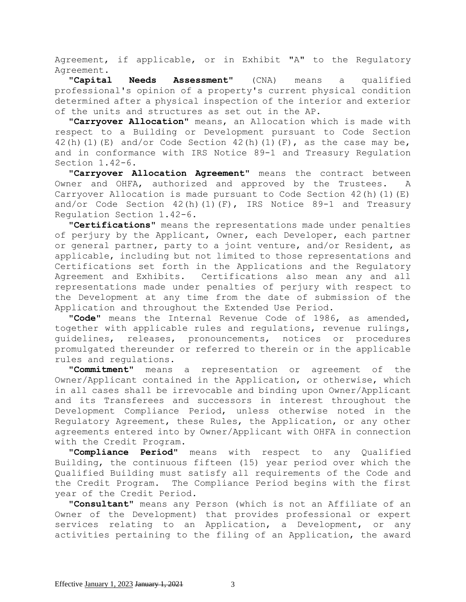Agreement, if applicable, or in Exhibit "A" to the Regulatory Agreement.

**"Capital Needs Assessment"** (CNA) means a qualified professional's opinion of a property's current physical condition determined after a physical inspection of the interior and exterior of the units and structures as set out in the AP.

**"Carryover Allocation"** means, an Allocation which is made with respect to a Building or Development pursuant to Code Section 42(h)(1)(E) and/or Code Section 42(h)(1)(F), as the case may be, and in conformance with IRS Notice 89-1 and Treasury Regulation Section 1.42-6.

**"Carryover Allocation Agreement"** means the contract between Owner and OHFA, authorized and approved by the Trustees. A Carryover Allocation is made pursuant to Code Section  $42(h)(1)(E)$ and/or Code Section  $42(h)(1)(F)$ , IRS Notice 89-1 and Treasury Regulation Section 1.42-6.

**"Certifications"** means the representations made under penalties of perjury by the Applicant, Owner, each Developer, each partner or general partner, party to a joint venture, and/or Resident, as applicable, including but not limited to those representations and Certifications set forth in the Applications and the Regulatory Agreement and Exhibits. Certifications also mean any and all representations made under penalties of perjury with respect to the Development at any time from the date of submission of the Application and throughout the Extended Use Period.

**"Code"** means the Internal Revenue Code of 1986, as amended, together with applicable rules and regulations, revenue rulings, guidelines, releases, pronouncements, notices or procedures promulgated thereunder or referred to therein or in the applicable rules and regulations.

**"Commitment"** means a representation or agreement of the Owner/Applicant contained in the Application, or otherwise, which in all cases shall be irrevocable and binding upon Owner/Applicant and its Transferees and successors in interest throughout the Development Compliance Period, unless otherwise noted in the Regulatory Agreement, these Rules, the Application, or any other agreements entered into by Owner/Applicant with OHFA in connection with the Credit Program.

**"Compliance Period"** means with respect to any Qualified Building, the continuous fifteen (15) year period over which the Qualified Building must satisfy all requirements of the Code and the Credit Program. The Compliance Period begins with the first year of the Credit Period.

**"Consultant"** means any Person (which is not an Affiliate of an Owner of the Development) that provides professional or expert services relating to an Application, a Development, or any activities pertaining to the filing of an Application, the award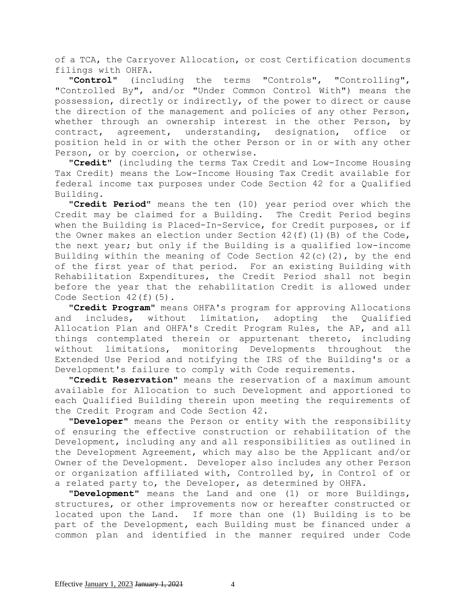of a TCA, the Carryover Allocation, or cost Certification documents filings with OHFA.

**"Control"** (including the terms "Controls", "Controlling", "Controlled By", and/or "Under Common Control With") means the possession, directly or indirectly, of the power to direct or cause the direction of the management and policies of any other Person, whether through an ownership interest in the other Person, by contract, agreement, understanding, designation, office or position held in or with the other Person or in or with any other Person, or by coercion, or otherwise.

**"Credit"** (including the terms Tax Credit and Low-Income Housing Tax Credit) means the Low-Income Housing Tax Credit available for federal income tax purposes under Code Section 42 for a Qualified Building.

**"Credit Period"** means the ten (10) year period over which the Credit may be claimed for a Building. The Credit Period begins when the Building is Placed-In-Service, for Credit purposes, or if the Owner makes an election under Section  $42(f)(1)(B)$  of the Code, the next year; but only if the Building is a qualified low-income Building within the meaning of Code Section  $42(c)(2)$ , by the end of the first year of that period. For an existing Building with Rehabilitation Expenditures, the Credit Period shall not begin before the year that the rehabilitation Credit is allowed under Code Section 42(f)(5).

**"Credit Program"** means OHFA's program for approving Allocations and includes, without limitation, adopting the Qualified Allocation Plan and OHFA's Credit Program Rules, the AP, and all things contemplated therein or appurtenant thereto, including without limitations, monitoring Developments throughout the Extended Use Period and notifying the IRS of the Building's or a Development's failure to comply with Code requirements.

**"Credit Reservation"** means the reservation of a maximum amount available for Allocation to such Development and apportioned to each Qualified Building therein upon meeting the requirements of the Credit Program and Code Section 42.

**"Developer"** means the Person or entity with the responsibility of ensuring the effective construction or rehabilitation of the Development, including any and all responsibilities as outlined in the Development Agreement, which may also be the Applicant and/or Owner of the Development. Developer also includes any other Person or organization affiliated with, Controlled by, in Control of or a related party to, the Developer, as determined by OHFA.

**"Development"** means the Land and one (1) or more Buildings, structures, or other improvements now or hereafter constructed or located upon the Land. If more than one (1) Building is to be part of the Development, each Building must be financed under a common plan and identified in the manner required under Code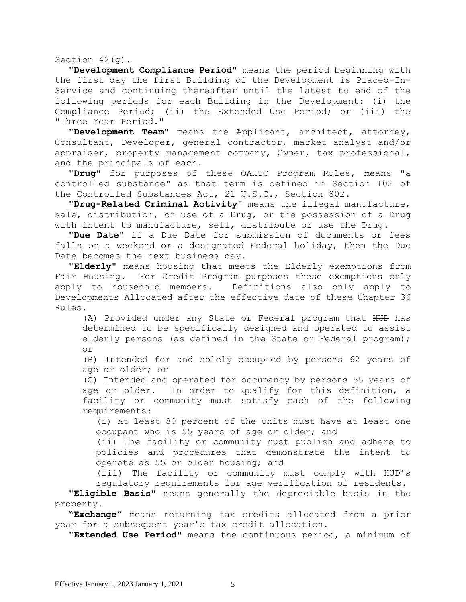Section 42(g).

**"Development Compliance Period"** means the period beginning with the first day the first Building of the Development is Placed-In-Service and continuing thereafter until the latest to end of the following periods for each Building in the Development: (i) the Compliance Period; (ii) the Extended Use Period; or (iii) the "Three Year Period."

**"Development Team"** means the Applicant, architect, attorney, Consultant, Developer, general contractor, market analyst and/or appraiser, property management company, Owner, tax professional, and the principals of each.

**"Drug"** for purposes of these OAHTC Program Rules, means "a controlled substance" as that term is defined in Section 102 of the Controlled Substances Act, 21 U.S.C., Section 802.

**"Drug-Related Criminal Activity"** means the illegal manufacture, sale, distribution, or use of a Drug, or the possession of a Drug with intent to manufacture, sell, distribute or use the Drug.

**"Due Date"** if a Due Date for submission of documents or fees falls on a weekend or a designated Federal holiday, then the Due Date becomes the next business day.

**"Elderly"** means housing that meets the Elderly exemptions from Fair Housing. For Credit Program purposes these exemptions only apply to household members. Definitions also only apply to Developments Allocated after the effective date of these Chapter 36 Rules.

(A) Provided under any State or Federal program that HUD has determined to be specifically designed and operated to assist elderly persons (as defined in the State or Federal program); or

(B) Intended for and solely occupied by persons 62 years of age or older; or

(C) Intended and operated for occupancy by persons 55 years of age or older. In order to qualify for this definition, a facility or community must satisfy each of the following requirements:

(i) At least 80 percent of the units must have at least one occupant who is 55 years of age or older; and

(ii) The facility or community must publish and adhere to policies and procedures that demonstrate the intent to operate as 55 or older housing; and

(iii) The facility or community must comply with HUD's regulatory requirements for age verification of residents.

**"Eligible Basis"** means generally the depreciable basis in the property.

**"Exchange"** means returning tax credits allocated from a prior year for a subsequent year's tax credit allocation.

**"Extended Use Period"** means the continuous period, a minimum of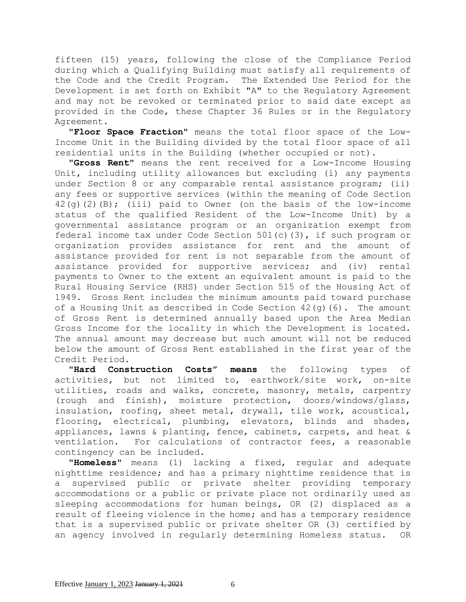fifteen (15) years, following the close of the Compliance Period during which a Qualifying Building must satisfy all requirements of the Code and the Credit Program. The Extended Use Period for the Development is set forth on Exhibit "A" to the Regulatory Agreement and may not be revoked or terminated prior to said date except as provided in the Code, these Chapter 36 Rules or in the Regulatory Agreement.

**"Floor Space Fraction"** means the total floor space of the Low-Income Unit in the Building divided by the total floor space of all residential units in the Building (whether occupied or not).

**"Gross Rent"** means the rent received for a Low-Income Housing Unit, including utility allowances but excluding (i) any payments under Section 8 or any comparable rental assistance program; (ii) any fees or supportive services (within the meaning of Code Section  $42$ (g)(2)(B); (iii) paid to Owner (on the basis of the low-income status of the qualified Resident of the Low-Income Unit) by a governmental assistance program or an organization exempt from federal income tax under Code Section 501(c)(3), if such program or organization provides assistance for rent and the amount of assistance provided for rent is not separable from the amount of assistance provided for supportive services; and (iv) rental payments to Owner to the extent an equivalent amount is paid to the Rural Housing Service (RHS) under Section 515 of the Housing Act of 1949. Gross Rent includes the minimum amounts paid toward purchase of a Housing Unit as described in Code Section  $42(q)(6)$ . The amount of Gross Rent is determined annually based upon the Area Median Gross Income for the locality in which the Development is located. The annual amount may decrease but such amount will not be reduced below the amount of Gross Rent established in the first year of the Credit Period.

**"Hard Construction Costs" means** the following types of activities, but not limited to, earthwork/site work, on-site utilities, roads and walks, concrete, masonry, metals, carpentry (rough and finish), moisture protection, doors/windows/glass, insulation, roofing, sheet metal, drywall, tile work, acoustical, flooring, electrical, plumbing, elevators, blinds and shades, appliances, lawns & planting, fence, cabinets, carpets, and heat & ventilation. For calculations of contractor fees, a reasonable contingency can be included.

**"Homeless"** means (1) lacking a fixed, regular and adequate nighttime residence; and has a primary nighttime residence that is a supervised public or private shelter providing temporary accommodations or a public or private place not ordinarily used as sleeping accommodations for human beings, OR (2) displaced as a result of fleeing violence in the home; and has a temporary residence that is a supervised public or private shelter OR (3) certified by an agency involved in regularly determining Homeless status. OR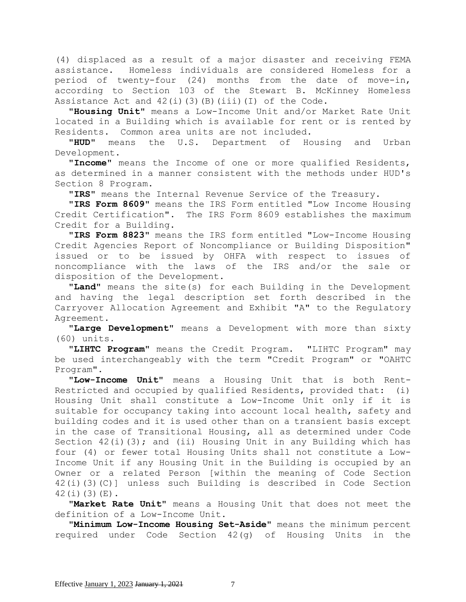(4) displaced as a result of a major disaster and receiving FEMA assistance. Homeless individuals are considered Homeless for a period of twenty-four (24) months from the date of move-in, according to Section 103 of the Stewart B. McKinney Homeless Assistance Act and  $42(i)(3)(B)(iii)(I)$  of the Code.

**"Housing Unit"** means a Low-Income Unit and/or Market Rate Unit located in a Building which is available for rent or is rented by Residents. Common area units are not included.

**"HUD"** means the U.S. Department of Housing and Urban Development.

**"Income"** means the Income of one or more qualified Residents, as determined in a manner consistent with the methods under HUD's Section 8 Program.

**"IRS"** means the Internal Revenue Service of the Treasury.

**"IRS Form 8609"** means the IRS Form entitled "Low Income Housing Credit Certification". The IRS Form 8609 establishes the maximum Credit for a Building.

**"IRS Form 8823"** means the IRS form entitled "Low-Income Housing Credit Agencies Report of Noncompliance or Building Disposition" issued or to be issued by OHFA with respect to issues of noncompliance with the laws of the IRS and/or the sale or disposition of the Development.

**"Land"** means the site(s) for each Building in the Development and having the legal description set forth described in the Carryover Allocation Agreement and Exhibit "A" to the Regulatory Agreement.

**"Large Development"** means a Development with more than sixty (60) units.

**"LIHTC Program"** means the Credit Program. "LIHTC Program" may be used interchangeably with the term "Credit Program" or "OAHTC Program".

**"Low-Income Unit"** means a Housing Unit that is both Rent-Restricted and occupied by qualified Residents, provided that: (i) Housing Unit shall constitute a Low-Income Unit only if it is suitable for occupancy taking into account local health, safety and building codes and it is used other than on a transient basis except in the case of Transitional Housing, all as determined under Code Section  $42(i)(3)$ ; and (ii) Housing Unit in any Building which has four (4) or fewer total Housing Units shall not constitute a Low-Income Unit if any Housing Unit in the Building is occupied by an Owner or a related Person [within the meaning of Code Section 42(i)(3)(C)] unless such Building is described in Code Section 42(i)(3)(E).

**"Market Rate Unit"** means a Housing Unit that does not meet the definition of a Low-Income Unit.

**"Minimum Low-Income Housing Set-Aside"** means the minimum percent required under Code Section 42(g) of Housing Units in the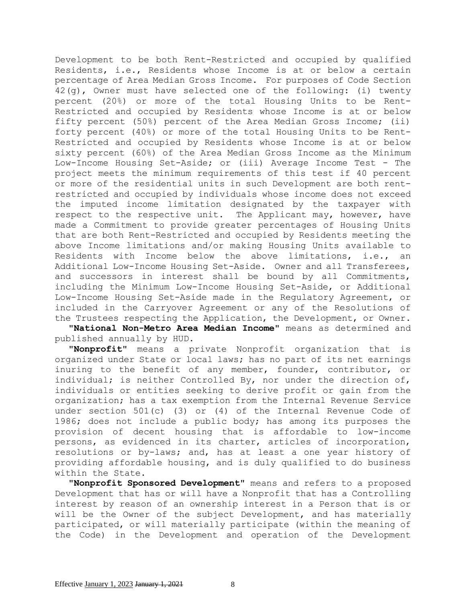Development to be both Rent-Restricted and occupied by qualified Residents, i.e., Residents whose Income is at or below a certain percentage of Area Median Gross Income. For purposes of Code Section 42(g), Owner must have selected one of the following: (i) twenty percent (20%) or more of the total Housing Units to be Rent-Restricted and occupied by Residents whose Income is at or below fifty percent (50%) percent of the Area Median Gross Income; (ii) forty percent (40%) or more of the total Housing Units to be Rent-Restricted and occupied by Residents whose Income is at or below sixty percent (60%) of the Area Median Gross Income as the Minimum Low-Income Housing Set-Aside; or (iii) Average Income Test - The project meets the minimum requirements of this test if 40 percent or more of the residential units in such Development are both rentrestricted and occupied by individuals whose income does not exceed the imputed income limitation designated by the taxpayer with respect to the respective unit. The Applicant may, however, have made a Commitment to provide greater percentages of Housing Units that are both Rent-Restricted and occupied by Residents meeting the above Income limitations and/or making Housing Units available to Residents with Income below the above limitations, i.e., an Additional Low-Income Housing Set-Aside. Owner and all Transferees, and successors in interest shall be bound by all Commitments, including the Minimum Low-Income Housing Set-Aside, or Additional Low-Income Housing Set-Aside made in the Regulatory Agreement, or included in the Carryover Agreement or any of the Resolutions of the Trustees respecting the Application, the Development, or Owner**.**

**"National Non-Metro Area Median Income"** means as determined and published annually by HUD.

**"Nonprofit"** means a private Nonprofit organization that is organized under State or local laws; has no part of its net earnings inuring to the benefit of any member, founder, contributor, or individual; is neither Controlled By, nor under the direction of, individuals or entities seeking to derive profit or gain from the organization; has a tax exemption from the Internal Revenue Service under section 501(c) (3) or (4) of the Internal Revenue Code of 1986; does not include a public body; has among its purposes the provision of decent housing that is affordable to low-income persons, as evidenced in its charter, articles of incorporation, resolutions or by-laws; and, has at least a one year history of providing affordable housing, and is duly qualified to do business within the State.

**"Nonprofit Sponsored Development"** means and refers to a proposed Development that has or will have a Nonprofit that has a Controlling interest by reason of an ownership interest in a Person that is or will be the Owner of the subject Development, and has materially participated, or will materially participate (within the meaning of the Code) in the Development and operation of the Development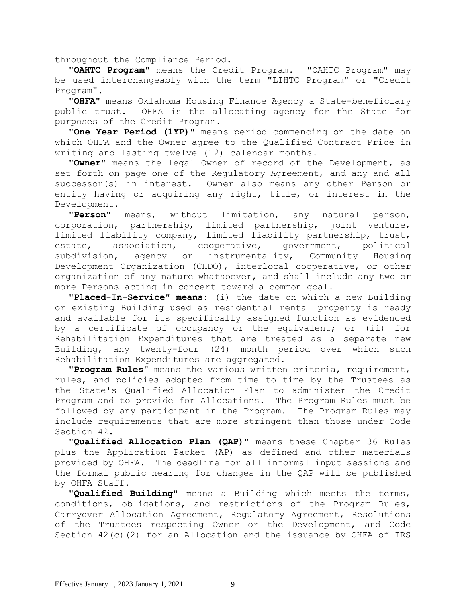throughout the Compliance Period.

**"OAHTC Program"** means the Credit Program. "OAHTC Program" may be used interchangeably with the term "LIHTC Program" or "Credit Program".

**"OHFA"** means Oklahoma Housing Finance Agency a State-beneficiary public trust. OHFA is the allocating agency for the State for purposes of the Credit Program.

**"One Year Period (1YP)"** means period commencing on the date on which OHFA and the Owner agree to the Qualified Contract Price in writing and lasting twelve (12) calendar months.

**"Owner"** means the legal Owner of record of the Development, as set forth on page one of the Regulatory Agreement, and any and all successor(s) in interest. Owner also means any other Person or entity having or acquiring any right, title, or interest in the Development.

**"Person"** means, without limitation, any natural person, corporation, partnership, limited partnership, joint venture, limited liability company, limited liability partnership, trust, estate, association, cooperative, government, political subdivision, agency or instrumentality, Community Housing Development Organization (CHDO), interlocal cooperative, or other organization of any nature whatsoever, and shall include any two or more Persons acting in concert toward a common goal.

**"Placed-In-Service" means:** (i) the date on which a new Building or existing Building used as residential rental property is ready and available for its specifically assigned function as evidenced by a certificate of occupancy or the equivalent; or (ii) for Rehabilitation Expenditures that are treated as a separate new Building, any twenty-four (24) month period over which such Rehabilitation Expenditures are aggregated.

**"Program Rules"** means the various written criteria, requirement, rules, and policies adopted from time to time by the Trustees as the State's Qualified Allocation Plan to administer the Credit Program and to provide for Allocations. The Program Rules must be followed by any participant in the Program. The Program Rules may include requirements that are more stringent than those under Code Section 42.

**"Qualified Allocation Plan (QAP)"** means these Chapter 36 Rules plus the Application Packet (AP) as defined and other materials provided by OHFA. The deadline for all informal input sessions and the formal public hearing for changes in the QAP will be published by OHFA Staff.

**"Qualified Building"** means a Building which meets the terms, conditions, obligations, and restrictions of the Program Rules, Carryover Allocation Agreement, Regulatory Agreement, Resolutions of the Trustees respecting Owner or the Development, and Code Section 42(c)(2) for an Allocation and the issuance by OHFA of IRS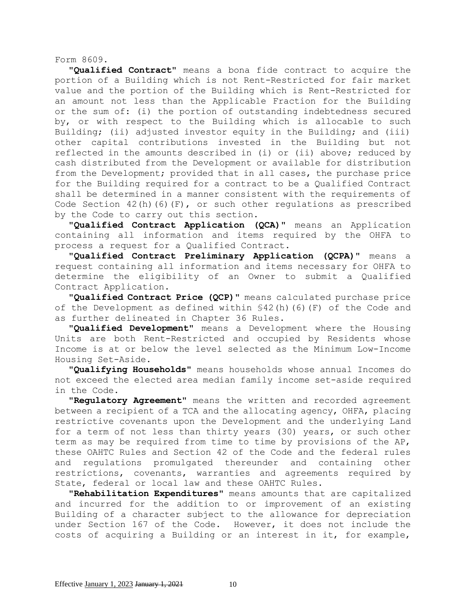Form 8609.

**"Qualified Contract"** means a bona fide contract to acquire the portion of a Building which is not Rent-Restricted for fair market value and the portion of the Building which is Rent-Restricted for an amount not less than the Applicable Fraction for the Building or the sum of: (i) the portion of outstanding indebtedness secured by, or with respect to the Building which is allocable to such Building; (ii) adjusted investor equity in the Building; and (iii) other capital contributions invested in the Building but not reflected in the amounts described in (i) or (ii) above; reduced by cash distributed from the Development or available for distribution from the Development; provided that in all cases, the purchase price for the Building required for a contract to be a Qualified Contract shall be determined in a manner consistent with the requirements of Code Section 42(h)(6)(F), or such other regulations as prescribed by the Code to carry out this section.

**"Qualified Contract Application (QCA)"** means an Application containing all information and items required by the OHFA to process a request for a Qualified Contract.

**"Qualified Contract Preliminary Application (QCPA)"** means a request containing all information and items necessary for OHFA to determine the eligibility of an Owner to submit a Qualified Contract Application.

**"Qualified Contract Price (QCP)"** means calculated purchase price of the Development as defined within §42(h)(6)(F) of the Code and as further delineated in Chapter 36 Rules.

**"Qualified Development"** means a Development where the Housing Units are both Rent-Restricted and occupied by Residents whose Income is at or below the level selected as the Minimum Low-Income Housing Set-Aside.

**"Qualifying Households"** means households whose annual Incomes do not exceed the elected area median family income set-aside required in the Code.

**"Regulatory Agreement"** means the written and recorded agreement between a recipient of a TCA and the allocating agency, OHFA, placing restrictive covenants upon the Development and the underlying Land for a term of not less than thirty years (30) years, or such other term as may be required from time to time by provisions of the AP, these OAHTC Rules and Section 42 of the Code and the federal rules and regulations promulgated thereunder and containing other restrictions, covenants, warranties and agreements required by State, federal or local law and these OAHTC Rules.

**"Rehabilitation Expenditures"** means amounts that are capitalized and incurred for the addition to or improvement of an existing Building of a character subject to the allowance for depreciation under Section 167 of the Code. However, it does not include the costs of acquiring a Building or an interest in it, for example,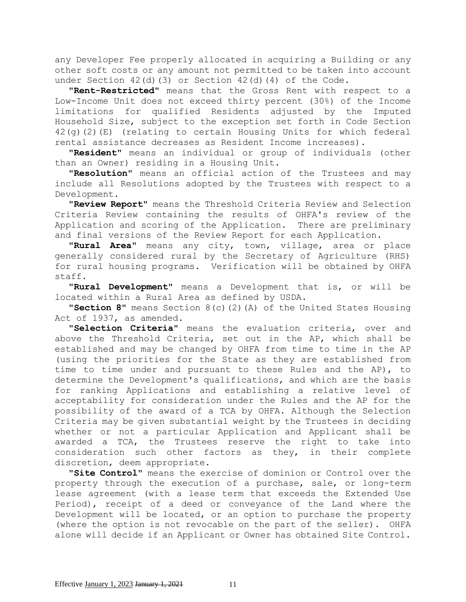any Developer Fee properly allocated in acquiring a Building or any other soft costs or any amount not permitted to be taken into account under Section  $42(d)(3)$  or Section  $42(d)(4)$  of the Code.

**"Rent-Restricted"** means that the Gross Rent with respect to a Low-Income Unit does not exceed thirty percent (30%) of the Income limitations for qualified Residents adjusted by the Imputed Household Size, subject to the exception set forth in Code Section 42(g)(2)(E) (relating to certain Housing Units for which federal rental assistance decreases as Resident Income increases).

**"Resident"** means an individual or group of individuals (other than an Owner) residing in a Housing Unit.

**"Resolution"** means an official action of the Trustees and may include all Resolutions adopted by the Trustees with respect to a Development.

**"Review Report"** means the Threshold Criteria Review and Selection Criteria Review containing the results of OHFA's review of the Application and scoring of the Application. There are preliminary and final versions of the Review Report for each Application.

**"Rural Area"** means any city, town, village, area or place generally considered rural by the Secretary of Agriculture (RHS) for rural housing programs. Verification will be obtained by OHFA staff.

**"Rural Development"** means a Development that is, or will be located within a Rural Area as defined by USDA.

**"Section 8"** means Section 8(c)(2)(A) of the United States Housing Act of 1937, as amended.

**"Selection Criteria"** means the evaluation criteria, over and above the Threshold Criteria, set out in the AP, which shall be established and may be changed by OHFA from time to time in the AP (using the priorities for the State as they are established from time to time under and pursuant to these Rules and the AP), to determine the Development's qualifications, and which are the basis for ranking Applications and establishing a relative level of acceptability for consideration under the Rules and the AP for the possibility of the award of a TCA by OHFA. Although the Selection Criteria may be given substantial weight by the Trustees in deciding whether or not a particular Application and Applicant shall be awarded a TCA, the Trustees reserve the right to take into consideration such other factors as they, in their complete discretion, deem appropriate.

**"Site Control"** means the exercise of dominion or Control over the property through the execution of a purchase, sale, or long-term lease agreement (with a lease term that exceeds the Extended Use Period), receipt of a deed or conveyance of the Land where the Development will be located, or an option to purchase the property (where the option is not revocable on the part of the seller). OHFA alone will decide if an Applicant or Owner has obtained Site Control.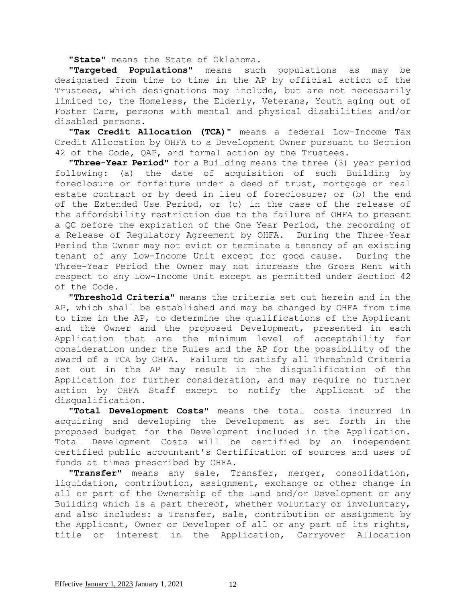**"State"** means the State of Oklahoma**.**

**"Targeted Populations"** means such populations as may be designated from time to time in the AP by official action of the Trustees, which designations may include, but are not necessarily limited to, the Homeless, the Elderly, Veterans, Youth aging out of Foster Care, persons with mental and physical disabilities and/or disabled persons.

**"Tax Credit Allocation (TCA)"** means a federal Low-Income Tax Credit Allocation by OHFA to a Development Owner pursuant to Section 42 of the Code, QAP, and formal action by the Trustees.

**"Three-Year Period"** for a Building means the three (3) year period following: (a) the date of acquisition of such Building by foreclosure or forfeiture under a deed of trust, mortgage or real estate contract or by deed in lieu of foreclosure; or (b) the end of the Extended Use Period, or (c) in the case of the release of the affordability restriction due to the failure of OHFA to present a QC before the expiration of the One Year Period, the recording of a Release of Regulatory Agreement by OHFA. During the Three-Year Period the Owner may not evict or terminate a tenancy of an existing tenant of any Low-Income Unit except for good cause. During the Three-Year Period the Owner may not increase the Gross Rent with respect to any Low-Income Unit except as permitted under Section 42 of the Code.

**"Threshold Criteria"** means the criteria set out herein and in the AP, which shall be established and may be changed by OHFA from time to time in the AP, to determine the qualifications of the Applicant and the Owner and the proposed Development, presented in each Application that are the minimum level of acceptability for consideration under the Rules and the AP for the possibility of the award of a TCA by OHFA. Failure to satisfy all Threshold Criteria set out in the AP may result in the disqualification of the Application for further consideration, and may require no further action by OHFA Staff except to notify the Applicant of the disqualification.

**"Total Development Costs"** means the total costs incurred in acquiring and developing the Development as set forth in the proposed budget for the Development included in the Application. Total Development Costs will be certified by an independent certified public accountant's Certification of sources and uses of funds at times prescribed by OHFA.

**"Transfer"** means any sale, Transfer, merger, consolidation, liquidation, contribution, assignment, exchange or other change in all or part of the Ownership of the Land and/or Development or any Building which is a part thereof, whether voluntary or involuntary, and also includes: a Transfer, sale, contribution or assignment by the Applicant, Owner or Developer of all or any part of its rights, title or interest in the Application, Carryover Allocation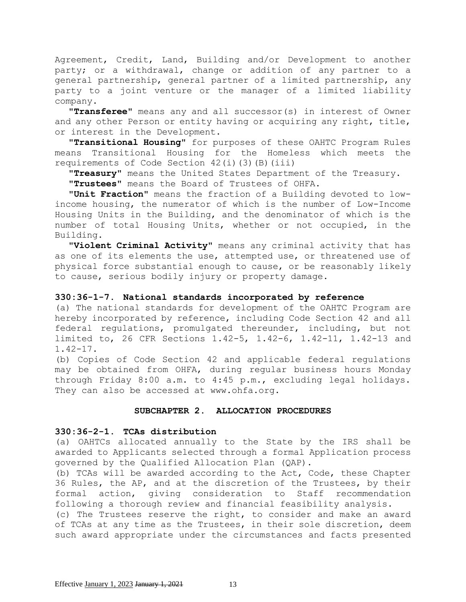Agreement, Credit, Land, Building and/or Development to another party; or a withdrawal, change or addition of any partner to a general partnership, general partner of a limited partnership, any party to a joint venture or the manager of a limited liability company.

**"Transferee"** means any and all successor(s) in interest of Owner and any other Person or entity having or acquiring any right, title, or interest in the Development.

**"Transitional Housing"** for purposes of these OAHTC Program Rules means Transitional Housing for the Homeless which meets the requirements of Code Section 42(i)(3)(B)(iii)

**"Treasury"** means the United States Department of the Treasury.

**"Trustees"** means the Board of Trustees of OHFA.

**"Unit Fraction"** means the fraction of a Building devoted to lowincome housing, the numerator of which is the number of Low-Income Housing Units in the Building, and the denominator of which is the number of total Housing Units, whether or not occupied, in the Building.

**"Violent Criminal Activity"** means any criminal activity that has as one of its elements the use, attempted use, or threatened use of physical force substantial enough to cause, or be reasonably likely to cause, serious bodily injury or property damage.

## **330:36-1-7. National standards incorporated by reference**

(a) The national standards for development of the OAHTC Program are hereby incorporated by reference, including Code Section 42 and all federal regulations, promulgated thereunder, including, but not limited to, 26 CFR Sections 1.42-5, 1.42-6, 1.42-11, 1.42-13 and 1.42-17.

(b) Copies of Code Section 42 and applicable federal regulations may be obtained from OHFA, during regular business hours Monday through Friday 8:00 a.m. to 4:45 p.m., excluding legal holidays. They can also be accessed at www.ohfa.org.

### **SUBCHAPTER 2. ALLOCATION PROCEDURES**

### **330:36-2-1. TCAs distribution**

(a) OAHTCs allocated annually to the State by the IRS shall be awarded to Applicants selected through a formal Application process governed by the Qualified Allocation Plan (QAP).

(b) TCAs will be awarded according to the Act, Code, these Chapter 36 Rules, the AP, and at the discretion of the Trustees, by their formal action, giving consideration to Staff recommendation following a thorough review and financial feasibility analysis.

(c) The Trustees reserve the right, to consider and make an award of TCAs at any time as the Trustees, in their sole discretion, deem such award appropriate under the circumstances and facts presented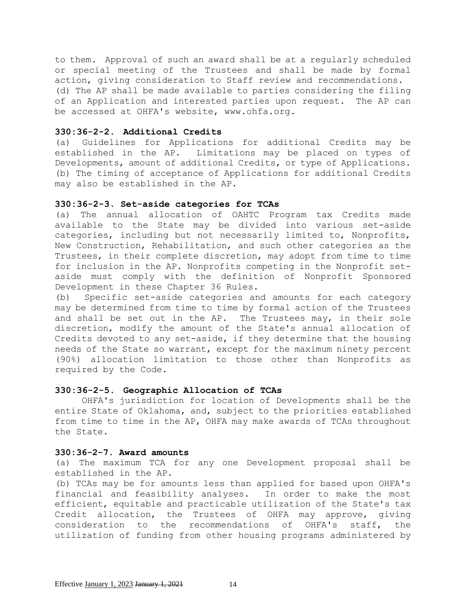to them. Approval of such an award shall be at a regularly scheduled or special meeting of the Trustees and shall be made by formal action, giving consideration to Staff review and recommendations. (d) The AP shall be made available to parties considering the filing of an Application and interested parties upon request. The AP can be accessed at OHFA's website, www.ohfa.org.

### **330:36-2-2. Additional Credits**

(a) Guidelines for Applications for additional Credits may be established in the AP. Limitations may be placed on types of Developments, amount of additional Credits, or type of Applications. (b) The timing of acceptance of Applications for additional Credits may also be established in the AP.

## **330:36-2-3. Set-aside categories for TCAs**

(a) The annual allocation of OAHTC Program tax Credits made available to the State may be divided into various set-aside categories, including but not necessarily limited to, Nonprofits, New Construction, Rehabilitation, and such other categories as the Trustees, in their complete discretion, may adopt from time to time for inclusion in the AP. Nonprofits competing in the Nonprofit setaside must comply with the definition of Nonprofit Sponsored Development in these Chapter 36 Rules.

(b) Specific set-aside categories and amounts for each category may be determined from time to time by formal action of the Trustees and shall be set out in the AP. The Trustees may, in their sole discretion, modify the amount of the State's annual allocation of Credits devoted to any set-aside, if they determine that the housing needs of the State so warrant, except for the maximum ninety percent (90%) allocation limitation to those other than Nonprofits as required by the Code.

# **330:36-2-5. Geographic Allocation of TCAs**

 OHFA's jurisdiction for location of Developments shall be the entire State of Oklahoma, and, subject to the priorities established from time to time in the AP, OHFA may make awards of TCAs throughout the State.

## **330:36-2-7. Award amounts**

(a) The maximum TCA for any one Development proposal shall be established in the AP.

(b) TCAs may be for amounts less than applied for based upon OHFA's financial and feasibility analyses. In order to make the most efficient, equitable and practicable utilization of the State's tax Credit allocation, the Trustees of OHFA may approve, giving consideration to the recommendations of OHFA's staff, the utilization of funding from other housing programs administered by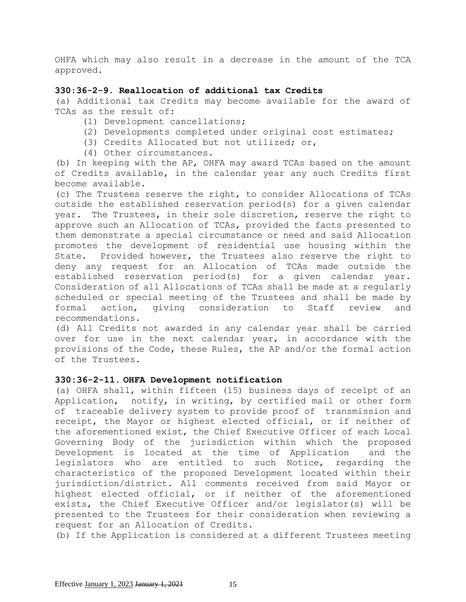OHFA which may also result in a decrease in the amount of the TCA approved.

## **330:36-2-9. Reallocation of additional tax Credits**

(a) Additional tax Credits may become available for the award of TCAs as the result of:

- (1) Development cancellations;
- (2) Developments completed under original cost estimates;
- (3) Credits Allocated but not utilized; or,
- (4) Other circumstances.

(b) In keeping with the AP, OHFA may award TCAs based on the amount of Credits available, in the calendar year any such Credits first become available.

(c) The Trustees reserve the right, to consider Allocations of TCAs outside the established reservation period(s) for a given calendar year. The Trustees, in their sole discretion, reserve the right to approve such an Allocation of TCAs, provided the facts presented to them demonstrate a special circumstance or need and said Allocation promotes the development of residential use housing within the State. Provided however, the Trustees also reserve the right to deny any request for an Allocation of TCAs made outside the established reservation period(s) for a given calendar year. Consideration of all Allocations of TCAs shall be made at a regularly scheduled or special meeting of the Trustees and shall be made by formal action, giving consideration to Staff review and recommendations.

(d) All Credits not awarded in any calendar year shall be carried over for use in the next calendar year, in accordance with the provisions of the Code, these Rules, the AP and/or the formal action of the Trustees.

# **330:36-2-11. OHFA Development notification**

(a) OHFA shall, within fifteen (15) business days of receipt of an Application, notify, in writing, by certified mail or other form of traceable delivery system to provide proof of transmission and receipt, the Mayor or highest elected official, or if neither of the aforementioned exist, the Chief Executive Officer of each Local Governing Body of the jurisdiction within which the proposed Development is located at the time of Application and the legislators who are entitled to such Notice, regarding the characteristics of the proposed Development located within their jurisdiction/district. All comments received from said Mayor or highest elected official, or if neither of the aforementioned exists, the Chief Executive Officer and/or legislator(s) will be presented to the Trustees for their consideration when reviewing a request for an Allocation of Credits.

(b) If the Application is considered at a different Trustees meeting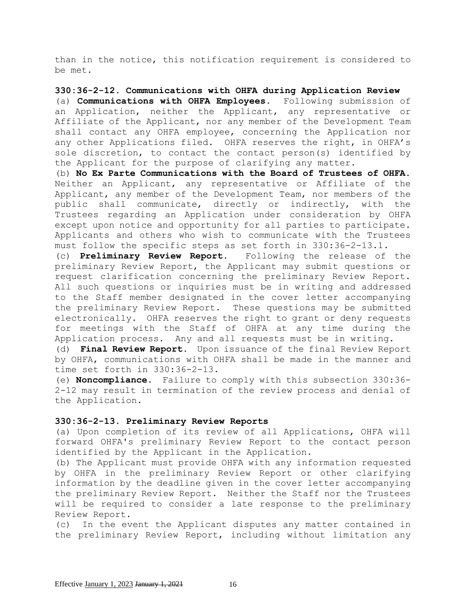than in the notice, this notification requirement is considered to be met.

## **330:36-2-12. Communications with OHFA during Application Review**

(a) **Communications with OHFA Employees.** Following submission of an Application, neither the Applicant, any representative or Affiliate of the Applicant, nor any member of the Development Team shall contact any OHFA employee, concerning the Application nor any other Applications filed. OHFA reserves the right, in OHFA's sole discretion, to contact the contact person(s) identified by the Applicant for the purpose of clarifying any matter.

(b) **No Ex Parte Communications with the Board of Trustees of OHFA.** Neither an Applicant, any representative or Affiliate of the Applicant, any member of the Development Team, nor members of the public shall communicate, directly or indirectly, with the Trustees regarding an Application under consideration by OHFA except upon notice and opportunity for all parties to participate. Applicants and others who wish to communicate with the Trustees must follow the specific steps as set forth in 330:36-2-13.1.

(c) **Preliminary Review Report.** Following the release of the preliminary Review Report, the Applicant may submit questions or request clarification concerning the preliminary Review Report. All such questions or inquiries must be in writing and addressed to the Staff member designated in the cover letter accompanying the preliminary Review Report. These questions may be submitted electronically. OHFA reserves the right to grant or deny requests for meetings with the Staff of OHFA at any time during the Application process. Any and all requests must be in writing.

(d) **Final Review Report.** Upon issuance of the final Review Report by OHFA, communications with OHFA shall be made in the manner and time set forth in 330:36-2-13.

(e) **Noncompliance.** Failure to comply with this subsection 330:36- 2-12 may result in termination of the review process and denial of the Application.

## **330:36-2-13. Preliminary Review Reports**

(a) Upon completion of its review of all Applications, OHFA will forward OHFA's preliminary Review Report to the contact person identified by the Applicant in the Application.

(b) The Applicant must provide OHFA with any information requested by OHFA in the preliminary Review Report or other clarifying information by the deadline given in the cover letter accompanying the preliminary Review Report. Neither the Staff nor the Trustees will be required to consider a late response to the preliminary Review Report.

(c) In the event the Applicant disputes any matter contained in the preliminary Review Report, including without limitation any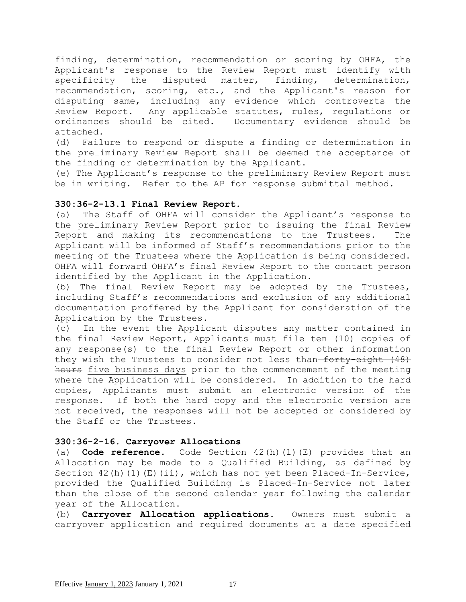finding, determination, recommendation or scoring by OHFA, the Applicant's response to the Review Report must identify with specificity the disputed matter, finding, determination, recommendation, scoring, etc., and the Applicant's reason for disputing same, including any evidence which controverts the Review Report. Any applicable statutes, rules, regulations or ordinances should be cited. Documentary evidence should be attached.

(d) Failure to respond or dispute a finding or determination in the preliminary Review Report shall be deemed the acceptance of the finding or determination by the Applicant.

(e) The Applicant's response to the preliminary Review Report must be in writing. Refer to the AP for response submittal method.

### **330:36-2-13.1 Final Review Report.**

(a) The Staff of OHFA will consider the Applicant's response to the preliminary Review Report prior to issuing the final Review Report and making its recommendations to the Trustees. The Applicant will be informed of Staff's recommendations prior to the meeting of the Trustees where the Application is being considered. OHFA will forward OHFA's final Review Report to the contact person identified by the Applicant in the Application.

(b) The final Review Report may be adopted by the Trustees, including Staff's recommendations and exclusion of any additional documentation proffered by the Applicant for consideration of the Application by the Trustees.

(c) In the event the Applicant disputes any matter contained in the final Review Report, Applicants must file ten (10) copies of any response(s) to the final Review Report or other information they wish the Trustees to consider not less than-forty-eight (48) hours five business days prior to the commencement of the meeting where the Application will be considered. In addition to the hard copies, Applicants must submit an electronic version of the response. If both the hard copy and the electronic version are not received, the responses will not be accepted or considered by the Staff or the Trustees.

# **330:36-2-16. Carryover Allocations**

(a) **Code reference.** Code Section 42(h)(1)(E) provides that an Allocation may be made to a Qualified Building, as defined by Section 42(h)(1)(E)(ii), which has not yet been Placed-In-Service, provided the Qualified Building is Placed-In-Service not later than the close of the second calendar year following the calendar year of the Allocation.

(b) **Carryover Allocation applications.** Owners must submit a carryover application and required documents at a date specified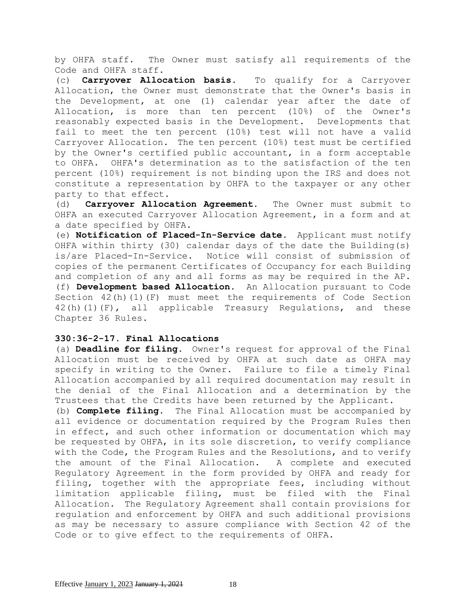by OHFA staff. The Owner must satisfy all requirements of the Code and OHFA staff.

(c) **Carryover Allocation basis.** To qualify for a Carryover Allocation, the Owner must demonstrate that the Owner's basis in the Development, at one (1) calendar year after the date of Allocation, is more than ten percent (10%) of the Owner's reasonably expected basis in the Development. Developments that fail to meet the ten percent (10%) test will not have a valid Carryover Allocation. The ten percent (10%) test must be certified by the Owner's certified public accountant, in a form acceptable to OHFA. OHFA's determination as to the satisfaction of the ten percent (10%) requirement is not binding upon the IRS and does not constitute a representation by OHFA to the taxpayer or any other party to that effect.

(d) **Carryover Allocation Agreement.** The Owner must submit to OHFA an executed Carryover Allocation Agreement, in a form and at a date specified by OHFA.

(e) **Notification of Placed-In-Service date.** Applicant must notify OHFA within thirty (30) calendar days of the date the Building(s) is/are Placed-In-Service. Notice will consist of submission of copies of the permanent Certificates of Occupancy for each Building and completion of any and all forms as may be required in the AP. (f) **Development based Allocation.** An Allocation pursuant to Code Section 42(h)(1)(F) must meet the requirements of Code Section  $42(h)(1)(F)$ , all applicable Treasury Regulations, and these Chapter 36 Rules.

### **330:36-2-17. Final Allocations**

(a) **Deadline for filing.** Owner's request for approval of the Final Allocation must be received by OHFA at such date as OHFA may specify in writing to the Owner. Failure to file a timely Final Allocation accompanied by all required documentation may result in the denial of the Final Allocation and a determination by the Trustees that the Credits have been returned by the Applicant.

(b) **Complete filing.** The Final Allocation must be accompanied by all evidence or documentation required by the Program Rules then in effect, and such other information or documentation which may be requested by OHFA, in its sole discretion, to verify compliance with the Code, the Program Rules and the Resolutions, and to verify the amount of the Final Allocation. A complete and executed Regulatory Agreement in the form provided by OHFA and ready for filing, together with the appropriate fees, including without limitation applicable filing, must be filed with the Final Allocation. The Regulatory Agreement shall contain provisions for regulation and enforcement by OHFA and such additional provisions as may be necessary to assure compliance with Section 42 of the Code or to give effect to the requirements of OHFA.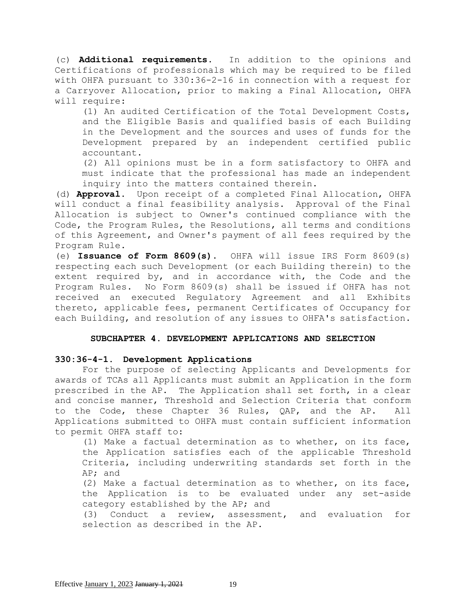(c) **Additional requirements.** In addition to the opinions and Certifications of professionals which may be required to be filed with OHFA pursuant to 330:36-2-16 in connection with a request for a Carryover Allocation, prior to making a Final Allocation, OHFA will require:

(1) An audited Certification of the Total Development Costs, and the Eligible Basis and qualified basis of each Building in the Development and the sources and uses of funds for the Development prepared by an independent certified public accountant.

(2) All opinions must be in a form satisfactory to OHFA and must indicate that the professional has made an independent inquiry into the matters contained therein.

(d) **Approval.** Upon receipt of a completed Final Allocation, OHFA will conduct a final feasibility analysis. Approval of the Final Allocation is subject to Owner's continued compliance with the Code, the Program Rules, the Resolutions, all terms and conditions of this Agreement, and Owner's payment of all fees required by the Program Rule.

(e) **Issuance of Form 8609(s).** OHFA will issue IRS Form 8609(s) respecting each such Development (or each Building therein) to the extent required by, and in accordance with, the Code and the Program Rules. No Form 8609(s) shall be issued if OHFA has not received an executed Regulatory Agreement and all Exhibits thereto, applicable fees, permanent Certificates of Occupancy for each Building, and resolution of any issues to OHFA's satisfaction.

## **SUBCHAPTER 4. DEVELOPMENT APPLICATIONS AND SELECTION**

# **330:36-4-1. Development Applications**

 For the purpose of selecting Applicants and Developments for awards of TCAs all Applicants must submit an Application in the form prescribed in the AP. The Application shall set forth, in a clear and concise manner, Threshold and Selection Criteria that conform to the Code, these Chapter 36 Rules, QAP, and the AP. All Applications submitted to OHFA must contain sufficient information to permit OHFA staff to:

(1) Make a factual determination as to whether, on its face, the Application satisfies each of the applicable Threshold Criteria, including underwriting standards set forth in the AP; and

(2) Make a factual determination as to whether, on its face, the Application is to be evaluated under any set-aside category established by the AP; and

(3) Conduct a review, assessment, and evaluation for selection as described in the AP.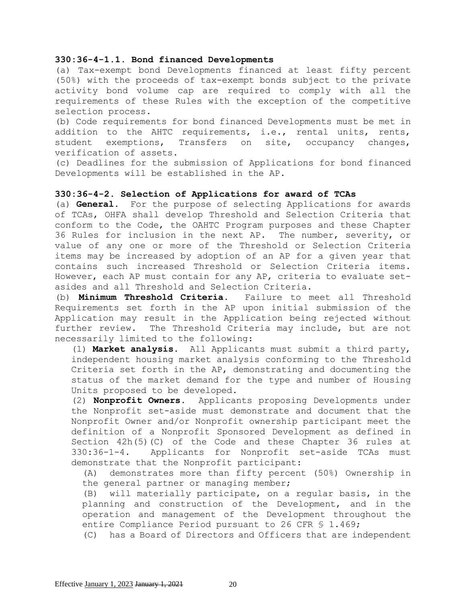#### **330:36-4-1.1. Bond financed Developments**

(a) Tax-exempt bond Developments financed at least fifty percent (50%) with the proceeds of tax-exempt bonds subject to the private activity bond volume cap are required to comply with all the requirements of these Rules with the exception of the competitive selection process.

(b) Code requirements for bond financed Developments must be met in addition to the AHTC requirements, i.e., rental units, rents, student exemptions, Transfers on site, occupancy changes, verification of assets.

(c) Deadlines for the submission of Applications for bond financed Developments will be established in the AP.

#### **330:36-4-2. Selection of Applications for award of TCAs**

(a) **General.** For the purpose of selecting Applications for awards of TCAs, OHFA shall develop Threshold and Selection Criteria that conform to the Code, the OAHTC Program purposes and these Chapter 36 Rules for inclusion in the next AP. The number, severity, or value of any one or more of the Threshold or Selection Criteria items may be increased by adoption of an AP for a given year that contains such increased Threshold or Selection Criteria items. However, each AP must contain for any AP, criteria to evaluate setasides and all Threshold and Selection Criteria.

(b) **Minimum Threshold Criteria.** Failure to meet all Threshold Requirements set forth in the AP upon initial submission of the Application may result in the Application being rejected without further review. The Threshold Criteria may include, but are not necessarily limited to the following:

(1) **Market analysis.** All Applicants must submit a third party, independent housing market analysis conforming to the Threshold Criteria set forth in the AP, demonstrating and documenting the status of the market demand for the type and number of Housing Units proposed to be developed.

(2) **Nonprofit Owners.** Applicants proposing Developments under the Nonprofit set-aside must demonstrate and document that the Nonprofit Owner and/or Nonprofit ownership participant meet the definition of a Nonprofit Sponsored Development as defined in Section 42h(5)(C) of the Code and these Chapter 36 rules at 330:36-1-4. Applicants for Nonprofit set-aside TCAs must demonstrate that the Nonprofit participant:

(A) demonstrates more than fifty percent (50%) Ownership in the general partner or managing member;

(B) will materially participate, on a regular basis, in the planning and construction of the Development, and in the operation and management of the Development throughout the entire Compliance Period pursuant to 26 CFR § 1.469;

(C) has a Board of Directors and Officers that are independent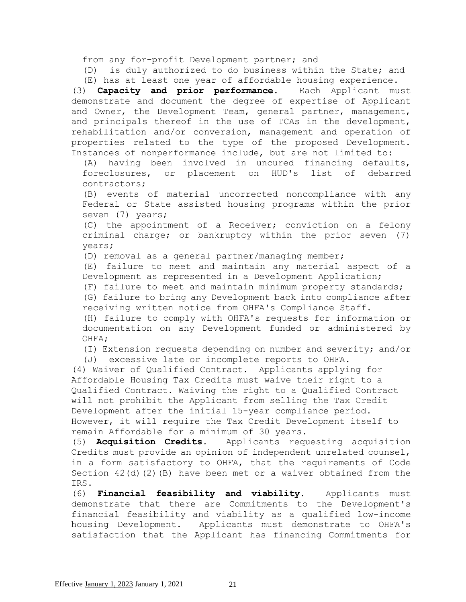from any for-profit Development partner; and

(D) is duly authorized to do business within the State; and (E) has at least one year of affordable housing experience.

(3) **Capacity and prior performance.** Each Applicant must demonstrate and document the degree of expertise of Applicant and Owner, the Development Team, general partner, management, and principals thereof in the use of TCAs in the development, rehabilitation and/or conversion, management and operation of properties related to the type of the proposed Development. Instances of nonperformance include, but are not limited to:

(A) having been involved in uncured financing defaults, foreclosures, or placement on HUD's list of debarred contractors;

(B) events of material uncorrected noncompliance with any Federal or State assisted housing programs within the prior seven (7) years;

(C) the appointment of a Receiver; conviction on a felony criminal charge; or bankruptcy within the prior seven (7) years;

(D) removal as a general partner/managing member;

(E) failure to meet and maintain any material aspect of a Development as represented in a Development Application;

(F) failure to meet and maintain minimum property standards; (G) failure to bring any Development back into compliance after receiving written notice from OHFA's Compliance Staff.

(H) failure to comply with OHFA's requests for information or documentation on any Development funded or administered by OHFA;

(I) Extension requests depending on number and severity; and/or

(J) excessive late or incomplete reports to OHFA.

(4) Waiver of Qualified Contract. Applicants applying for Affordable Housing Tax Credits must waive their right to a Qualified Contract. Waiving the right to a Qualified Contract will not prohibit the Applicant from selling the Tax Credit Development after the initial 15-year compliance period. However, it will require the Tax Credit Development itself to remain Affordable for a minimum of 30 years.

(5) **Acquisition Credits.** Applicants requesting acquisition Credits must provide an opinion of independent unrelated counsel, in a form satisfactory to OHFA, that the requirements of Code Section 42(d)(2)(B) have been met or a waiver obtained from the IRS.

(6) **Financial feasibility and viability**. Applicants must demonstrate that there are Commitments to the Development's financial feasibility and viability as a qualified low-income housing Development. Applicants must demonstrate to OHFA's satisfaction that the Applicant has financing Commitments for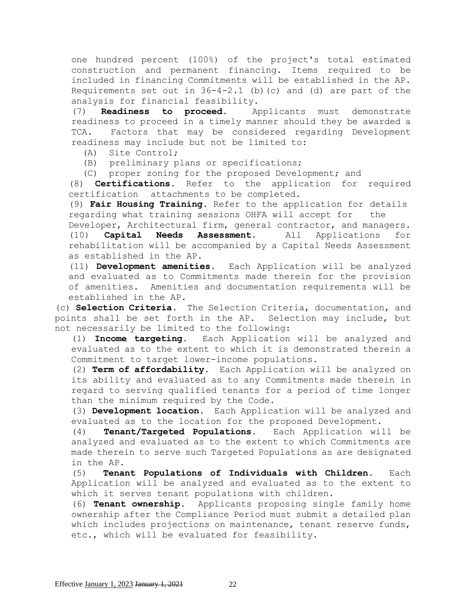one hundred percent (100%) of the project's total estimated construction and permanent financing. Items required to be included in financing Commitments will be established in the AP. Requirements set out in  $36-4-2.1$  (b) (c) and (d) are part of the analysis for financial feasibility.

(7) **Readiness to proceed**. Applicants must demonstrate readiness to proceed in a timely manner should they be awarded a TCA. Factors that may be considered regarding Development readiness may include but not be limited to:

(A) Site Control;

(B) preliminary plans or specifications;

(C) proper zoning for the proposed Development; and

(8) **Certifications.** Refer to the application for required certification attachments to be completed.

(9) **Fair Housing Training.** Refer to the application for details regarding what training sessions OHFA will accept for the

Developer, Architectural firm, general contractor, and managers. (10) **Capital Needs Assessment.** All Applications for rehabilitation will be accompanied by a Capital Needs Assessment as established in the AP.

(11) **Development amenities.** Each Application will be analyzed and evaluated as to Commitments made therein for the provision of amenities. Amenities and documentation requirements will be established in the AP.

(c) **Selection Criteria.** The Selection Criteria, documentation, and points shall be set forth in the AP. Selection may include, but not necessarily be limited to the following:

(1) **Income targeting.** Each Application will be analyzed and evaluated as to the extent to which it is demonstrated therein a Commitment to target lower-income populations.

(2) **Term of affordability.** Each Application will be analyzed on its ability and evaluated as to any Commitments made therein in regard to serving qualified tenants for a period of time longer than the minimum required by the Code.

(3) **Development location.** Each Application will be analyzed and evaluated as to the location for the proposed Development.

(4) **Tenant/Targeted Populations.** Each Application will be analyzed and evaluated as to the extent to which Commitments are made therein to serve such Targeted Populations as are designated in the AP.

(5) **Tenant Populations of Individuals with Children.** Each Application will be analyzed and evaluated as to the extent to which it serves tenant populations with children.

(6) **Tenant ownership.** Applicants proposing single family home ownership after the Compliance Period must submit a detailed plan which includes projections on maintenance, tenant reserve funds, etc., which will be evaluated for feasibility.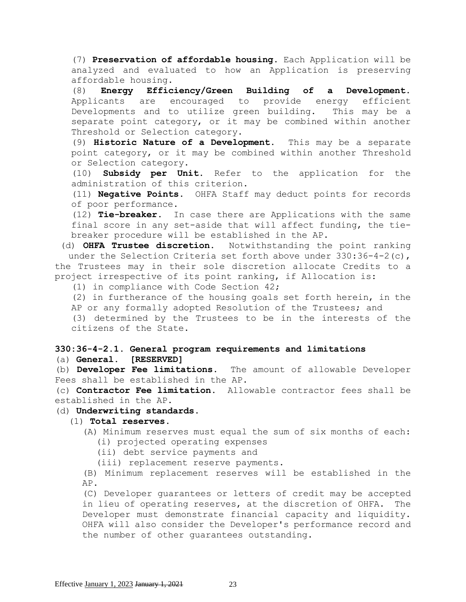(7) **Preservation of affordable housing.** Each Application will be analyzed and evaluated to how an Application is preserving affordable housing.

(8) **Energy Efficiency/Green Building of a Development.**  Applicants are encouraged to provide energy efficient Developments and to utilize green building. This may be a separate point category, or it may be combined within another Threshold or Selection category.

(9) **Historic Nature of a Development.** This may be a separate point category, or it may be combined within another Threshold or Selection category.

(10) **Subsidy per Unit.** Refer to the application for the administration of this criterion.

(11) **Negative Points**. OHFA Staff may deduct points for records of poor performance.

(12) **Tie-breaker.** In case there are Applications with the same final score in any set-aside that will affect funding, the tiebreaker procedure will be established in the AP.

(d) **OHFA Trustee discretion.** Notwithstanding the point ranking under the Selection Criteria set forth above under  $330:36-4-2(c)$ , the Trustees may in their sole discretion allocate Credits to a project irrespective of its point ranking, if Allocation is:

(1) in compliance with Code Section 42;

(2) in furtherance of the housing goals set forth herein, in the AP or any formally adopted Resolution of the Trustees; and

(3) determined by the Trustees to be in the interests of the citizens of the State.

# **330:36-4-2.1. General program requirements and limitations** (a) **General. [RESERVED]**

(b) **Developer Fee limitations.** The amount of allowable Developer Fees shall be established in the AP.

(c) **Contractor Fee limitation.** Allowable contractor fees shall be established in the AP.

# (d) **Underwriting standards**.

# (1) **Total reserves.**

- (A) Minimum reserves must equal the sum of six months of each: (i) projected operating expenses
	- (ii) debt service payments and

(iii) replacement reserve payments.

(B) Minimum replacement reserves will be established in the AP.

(C) Developer guarantees or letters of credit may be accepted in lieu of operating reserves, at the discretion of OHFA. The Developer must demonstrate financial capacity and liquidity. OHFA will also consider the Developer's performance record and the number of other guarantees outstanding.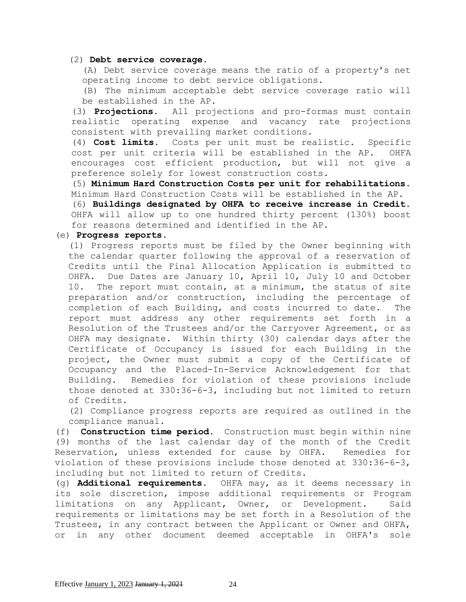#### (2) **Debt service coverage.**

(A) Debt service coverage means the ratio of a property's net operating income to debt service obligations.

(B) The minimum acceptable debt service coverage ratio will be established in the AP.

(3) **Projections.** All projections and pro-formas must contain realistic operating expense and vacancy rate projections consistent with prevailing market conditions.

(4) **Cost limits.** Costs per unit must be realistic. Specific cost per unit criteria will be established in the AP. OHFA encourages cost efficient production, but will not give a preference solely for lowest construction costs.

(5) **Minimum Hard Construction Costs per unit for rehabilitations.** Minimum Hard Construction Costs will be established in the AP.

(6) **Buildings designated by OHFA to receive increase in Credit.**  OHFA will allow up to one hundred thirty percent (130%) boost for reasons determined and identified in the AP.

#### (e) **Progress reports.**

(1) Progress reports must be filed by the Owner beginning with the calendar quarter following the approval of a reservation of Credits until the Final Allocation Application is submitted to OHFA. Due Dates are January 10, April 10, July 10 and October 10. The report must contain, at a minimum, the status of site preparation and/or construction, including the percentage of completion of each Building, and costs incurred to date. The report must address any other requirements set forth in a Resolution of the Trustees and/or the Carryover Agreement, or as OHFA may designate. Within thirty (30) calendar days after the Certificate of Occupancy is issued for each Building in the project, the Owner must submit a copy of the Certificate of Occupancy and the Placed-In-Service Acknowledgement for that Building. Remedies for violation of these provisions include those denoted at 330:36-6-3, including but not limited to return of Credits.

(2) Compliance progress reports are required as outlined in the compliance manual.

(f) **Construction time period**. Construction must begin within nine (9) months of the last calendar day of the month of the Credit Reservation, unless extended for cause by OHFA. Remedies for violation of these provisions include those denoted at 330:36-6-3, including but not limited to return of Credits.

(g) **Additional requirements.** OHFA may, as it deems necessary in its sole discretion, impose additional requirements or Program limitations on any Applicant, Owner, or Development. Said requirements or limitations may be set forth in a Resolution of the Trustees, in any contract between the Applicant or Owner and OHFA, or in any other document deemed acceptable in OHFA's sole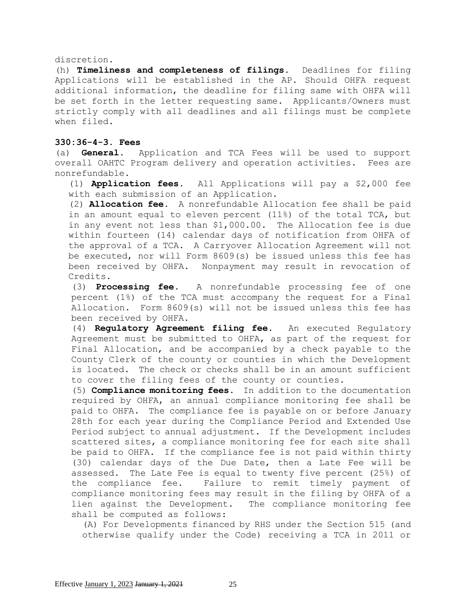#### discretion.

(h) **Timeliness and completeness of filings.** Deadlines for filing Applications will be established in the AP. Should OHFA request additional information, the deadline for filing same with OHFA will be set forth in the letter requesting same. Applicants/Owners must strictly comply with all deadlines and all filings must be complete when filed.

## **330:36-4-3. Fees**

(a) **General.** Application and TCA Fees will be used to support overall OAHTC Program delivery and operation activities. Fees are nonrefundable.

(1) **Application fees.** All Applications will pay a \$2,000 fee with each submission of an Application.

(2) **Allocation fee.** A nonrefundable Allocation fee shall be paid in an amount equal to eleven percent (11%) of the total TCA, but in any event not less than \$1,000.00. The Allocation fee is due within fourteen (14) calendar days of notification from OHFA of the approval of a TCA. A Carryover Allocation Agreement will not be executed, nor will Form 8609(s) be issued unless this fee has been received by OHFA. Nonpayment may result in revocation of Credits.

(3) **Processing fee.** A nonrefundable processing fee of one percent (1%) of the TCA must accompany the request for a Final Allocation. Form 8609(s) will not be issued unless this fee has been received by OHFA.

(4) **Regulatory Agreement filing fee.** An executed Regulatory Agreement must be submitted to OHFA, as part of the request for Final Allocation, and be accompanied by a check payable to the County Clerk of the county or counties in which the Development is located. The check or checks shall be in an amount sufficient to cover the filing fees of the county or counties.

(5) **Compliance monitoring fees**. In addition to the documentation required by OHFA, an annual compliance monitoring fee shall be paid to OHFA. The compliance fee is payable on or before January 28th for each year during the Compliance Period and Extended Use Period subject to annual adjustment. If the Development includes scattered sites, a compliance monitoring fee for each site shall be paid to OHFA. If the compliance fee is not paid within thirty (30) calendar days of the Due Date, then a Late Fee will be assessed. The Late Fee is equal to twenty five percent (25%) of the compliance fee. Failure to remit timely payment of compliance monitoring fees may result in the filing by OHFA of a lien against the Development. The compliance monitoring fee shall be computed as follows:

(A) For Developments financed by RHS under the Section 515 (and otherwise qualify under the Code) receiving a TCA in 2011 or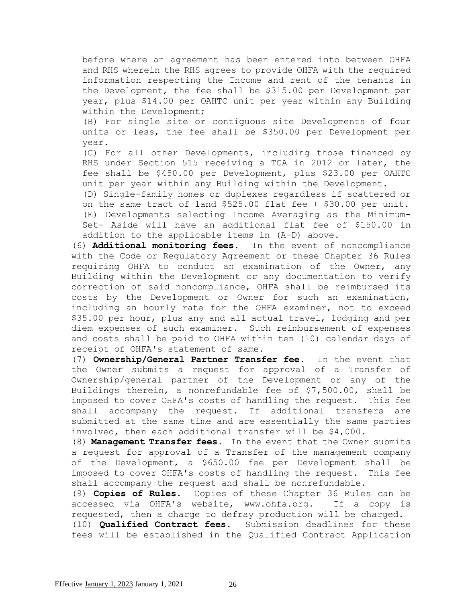before where an agreement has been entered into between OHFA and RHS wherein the RHS agrees to provide OHFA with the required information respecting the Income and rent of the tenants in the Development, the fee shall be \$315.00 per Development per year, plus \$14.00 per OAHTC unit per year within any Building within the Development;

(B) For single site or contiguous site Developments of four units or less, the fee shall be \$350.00 per Development per year.

(C) For all other Developments, including those financed by RHS under Section 515 receiving a TCA in 2012 or later, the fee shall be \$450.00 per Development, plus \$23.00 per OAHTC unit per year within any Building within the Development.

(D) Single-family homes or duplexes regardless if scattered or on the same tract of land \$525.00 flat fee + \$30.00 per unit. (E) Developments selecting Income Averaging as the Minimum-Set- Aside will have an additional flat fee of \$150.00 in addition to the applicable items in (A-D) above.

(6) **Additional monitoring fees.** In the event of noncompliance with the Code or Regulatory Agreement or these Chapter 36 Rules requiring OHFA to conduct an examination of the Owner, any Building within the Development or any documentation to verify correction of said noncompliance, OHFA shall be reimbursed its costs by the Development or Owner for such an examination, including an hourly rate for the OHFA examiner, not to exceed \$35.00 per hour, plus any and all actual travel, lodging and per diem expenses of such examiner. Such reimbursement of expenses and costs shall be paid to OHFA within ten (10) calendar days of receipt of OHFA's statement of same.

(7) **Ownership/General Partner Transfer fee.** In the event that the Owner submits a request for approval of a Transfer of Ownership/general partner of the Development or any of the Buildings therein, a nonrefundable fee of \$7,500.00, shall be imposed to cover OHFA's costs of handling the request. This fee shall accompany the request. If additional transfers are submitted at the same time and are essentially the same parties involved, then each additional transfer will be \$4,000.

(8) **Management Transfer fees.** In the event that the Owner submits a request for approval of a Transfer of the management company of the Development, a \$650.00 fee per Development shall be imposed to cover OHFA's costs of handling the request. This fee shall accompany the request and shall be nonrefundable.

(9) **Copies of Rules.** Copies of these Chapter 36 Rules can be accessed via OHFA's website, [www.ohfa.org.](http://www.ohfa.org/) If a copy is requested, then a charge to defray production will be charged. (10) **Qualified Contract fees.** Submission deadlines for these fees will be established in the Qualified Contract Application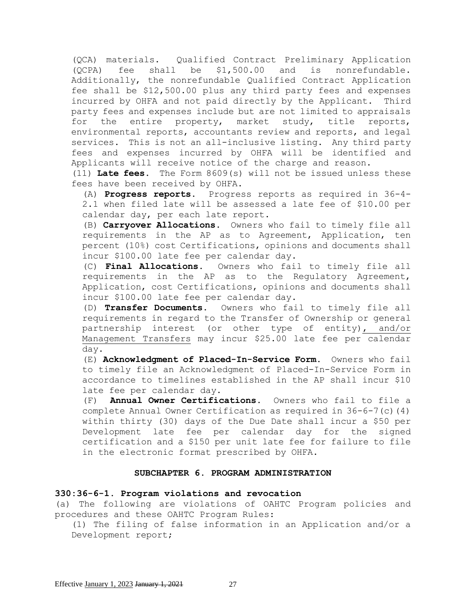(QCA) materials. Qualified Contract Preliminary Application (QCPA) fee shall be \$1,500.00 and is nonrefundable. Additionally, the nonrefundable Qualified Contract Application fee shall be \$12,500.00 plus any third party fees and expenses incurred by OHFA and not paid directly by the Applicant.Third party fees and expenses include but are not limited to appraisals for the entire property, market study, title reports, environmental reports, accountants review and reports, and legal services. This is not an all-inclusive listing. Any third party fees and expenses incurred by OHFA will be identified and Applicants will receive notice of the charge and reason.

(11) **Late fees.** The Form 8609(s) will not be issued unless these fees have been received by OHFA.

(A) **Progress reports.** Progress reports as required in 36-4- 2.1 when filed late will be assessed a late fee of \$10.00 per calendar day, per each late report.

(B) **Carryover Allocations.** Owners who fail to timely file all requirements in the AP as to Agreement, Application, ten percent (10%) cost Certifications, opinions and documents shall incur \$100.00 late fee per calendar day.

(C) **Final Allocations.** Owners who fail to timely file all requirements in the AP as to the Regulatory Agreement, Application, cost Certifications, opinions and documents shall incur \$100.00 late fee per calendar day.

(D) **Transfer Documents.** Owners who fail to timely file all requirements in regard to the Transfer of Ownership or general partnership interest (or other type of entity), and/or Management Transfers may incur \$25.00 late fee per calendar day.

(E) **Acknowledgment of Placed-In-Service Form.** Owners who fail to timely file an Acknowledgment of Placed-In-Service Form in accordance to timelines established in the AP shall incur \$10 late fee per calendar day.

(F) **Annual Owner Certifications.** Owners who fail to file a complete Annual Owner Certification as required in  $36-6-7$  (c)(4) within thirty (30) days of the Due Date shall incur a \$50 per Development late fee per calendar day for the signed certification and a \$150 per unit late fee for failure to file in the electronic format prescribed by OHFA.

## **SUBCHAPTER 6. PROGRAM ADMINISTRATION**

### **330:36-6-1. Program violations and revocation**

(a) The following are violations of OAHTC Program policies and procedures and these OAHTC Program Rules:

(1) The filing of false information in an Application and/or a Development report;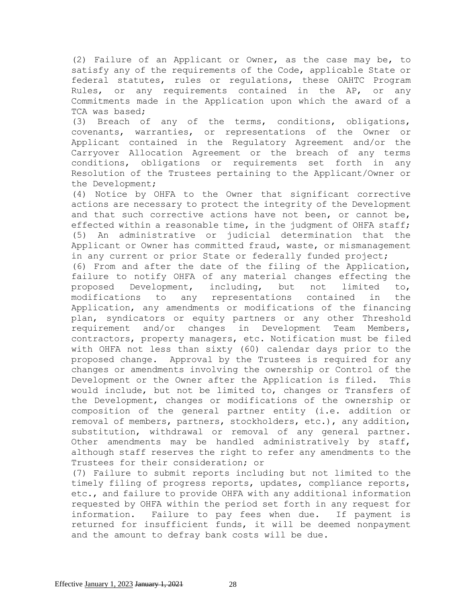(2) Failure of an Applicant or Owner, as the case may be, to satisfy any of the requirements of the Code, applicable State or federal statutes, rules or regulations, these OAHTC Program Rules, or any requirements contained in the AP, or any Commitments made in the Application upon which the award of a TCA was based;

(3) Breach of any of the terms, conditions, obligations, covenants, warranties, or representations of the Owner or Applicant contained in the Regulatory Agreement and/or the Carryover Allocation Agreement or the breach of any terms conditions, obligations or requirements set forth in any Resolution of the Trustees pertaining to the Applicant/Owner or the Development;

(4) Notice by OHFA to the Owner that significant corrective actions are necessary to protect the integrity of the Development and that such corrective actions have not been, or cannot be, effected within a reasonable time, in the judgment of OHFA staff; (5) An administrative or judicial determination that the Applicant or Owner has committed fraud, waste, or mismanagement in any current or prior State or federally funded project;

(6) From and after the date of the filing of the Application, failure to notify OHFA of any material changes effecting the proposed Development, including, but not limited to, modifications to any representations contained in the Application, any amendments or modifications of the financing plan, syndicators or equity partners or any other Threshold requirement and/or changes in Development Team Members, contractors, property managers, etc. Notification must be filed with OHFA not less than sixty (60) calendar days prior to the proposed change. Approval by the Trustees is required for any changes or amendments involving the ownership or Control of the Development or the Owner after the Application is filed. This would include, but not be limited to, changes or Transfers of the Development, changes or modifications of the ownership or composition of the general partner entity (i.e. addition or removal of members, partners, stockholders, etc.), any addition, substitution, withdrawal or removal of any general partner. Other amendments may be handled administratively by staff, although staff reserves the right to refer any amendments to the Trustees for their consideration; or

(7) Failure to submit reports including but not limited to the timely filing of progress reports, updates, compliance reports, etc., and failure to provide OHFA with any additional information requested by OHFA within the period set forth in any request for information. Failure to pay fees when due. If payment is returned for insufficient funds, it will be deemed nonpayment and the amount to defray bank costs will be due.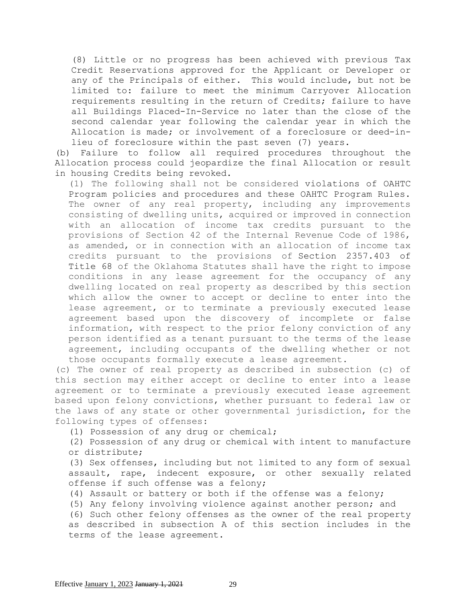(8) Little or no progress has been achieved with previous Tax Credit Reservations approved for the Applicant or Developer or any of the Principals of either. This would include, but not be limited to: failure to meet the minimum Carryover Allocation requirements resulting in the return of Credits; failure to have all Buildings Placed-In-Service no later than the close of the second calendar year following the calendar year in which the Allocation is made; or involvement of a foreclosure or deed-inlieu of foreclosure within the past seven (7) years.

(b) Failure to follow all required procedures throughout the Allocation process could jeopardize the final Allocation or result in housing Credits being revoked.

(1) The following shall not be considered violations of OAHTC Program policies and procedures and these OAHTC Program Rules. The owner of any real property, including any improvements consisting of dwelling units, acquired or improved in connection with an allocation of income tax credits pursuant to the provisions of Section 42 of the Internal Revenue Code of 1986, as amended, or in connection with an allocation of income tax credits pursuant to the provisions of [Section 2357.403 of](https://www.oscn.net/applications/oscn/DeliverDocument.asp?citeid=474122)  [Title](https://www.oscn.net/applications/oscn/DeliverDocument.asp?citeid=474122) 68 of the Oklahoma Statutes shall have the right to impose conditions in any lease agreement for the occupancy of any dwelling located on real property as described by this section which allow the owner to accept or decline to enter into the lease agreement, or to terminate a previously executed lease agreement based upon the discovery of incomplete or false information, with respect to the prior felony conviction of any person identified as a tenant pursuant to the terms of the lease agreement, including occupants of the dwelling whether or not those occupants formally execute a lease agreement.

(c) The owner of real property as described in subsection (c) of this section may either accept or decline to enter into a lease agreement or to terminate a previously executed lease agreement based upon felony convictions, whether pursuant to federal law or the laws of any state or other governmental jurisdiction, for the following types of offenses:

(1) Possession of any drug or chemical;

(2) Possession of any drug or chemical with intent to manufacture or distribute;

(3) Sex offenses, including but not limited to any form of sexual assault, rape, indecent exposure, or other sexually related offense if such offense was a felony;

(4) Assault or battery or both if the offense was a felony;

(5) Any felony involving violence against another person; and

(6) Such other felony offenses as the owner of the real property as described in subsection A of this section includes in the terms of the lease agreement.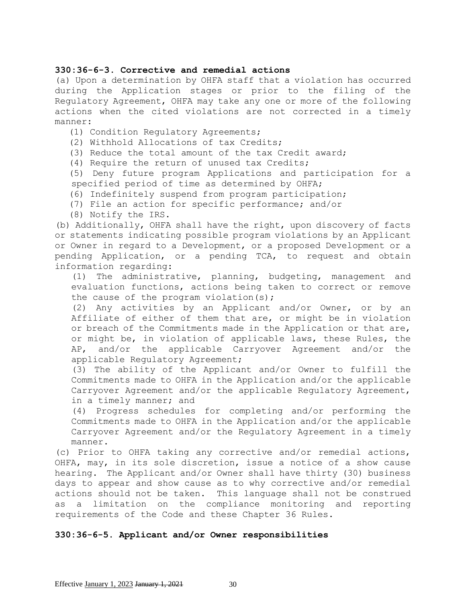## **330:36-6-3. Corrective and remedial actions**

(a) Upon a determination by OHFA staff that a violation has occurred during the Application stages or prior to the filing of the Regulatory Agreement, OHFA may take any one or more of the following actions when the cited violations are not corrected in a timely manner:

- (1) Condition Regulatory Agreements;
- (2) Withhold Allocations of tax Credits;
- (3) Reduce the total amount of the tax Credit award;
- (4) Require the return of unused tax Credits;

(5) Deny future program Applications and participation for a specified period of time as determined by OHFA;

- (6) Indefinitely suspend from program participation;
- (7) File an action for specific performance; and/or
- (8) Notify the IRS.

(b) Additionally, OHFA shall have the right, upon discovery of facts or statements indicating possible program violations by an Applicant or Owner in regard to a Development, or a proposed Development or a pending Application, or a pending TCA, to request and obtain information regarding:

(1) The administrative, planning, budgeting, management and evaluation functions, actions being taken to correct or remove the cause of the program violation(s);

(2) Any activities by an Applicant and/or Owner, or by an Affiliate of either of them that are, or might be in violation or breach of the Commitments made in the Application or that are, or might be, in violation of applicable laws, these Rules, the AP, and/or the applicable Carryover Agreement and/or the applicable Regulatory Agreement;

(3) The ability of the Applicant and/or Owner to fulfill the Commitments made to OHFA in the Application and/or the applicable Carryover Agreement and/or the applicable Regulatory Agreement, in a timely manner; and

(4) Progress schedules for completing and/or performing the Commitments made to OHFA in the Application and/or the applicable Carryover Agreement and/or the Regulatory Agreement in a timely manner.

(c) Prior to OHFA taking any corrective and/or remedial actions, OHFA, may, in its sole discretion, issue a notice of a show cause hearing. The Applicant and/or Owner shall have thirty (30) business days to appear and show cause as to why corrective and/or remedial actions should not be taken. This language shall not be construed as a limitation on the compliance monitoring and reporting requirements of the Code and these Chapter 36 Rules.

# **330:36-6-5. Applicant and/or Owner responsibilities**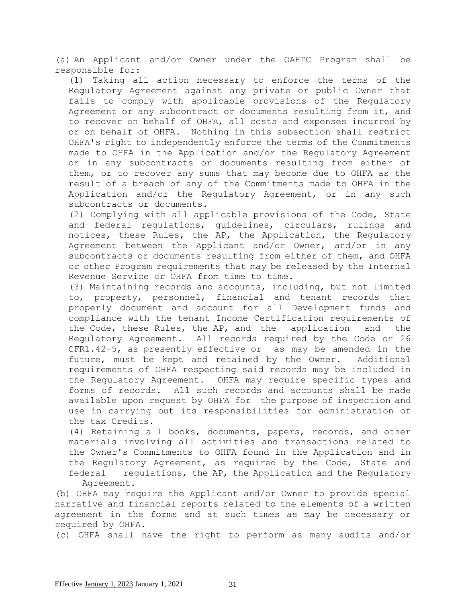(a) An Applicant and/or Owner under the OAHTC Program shall be responsible for:

(1) Taking all action necessary to enforce the terms of the Regulatory Agreement against any private or public Owner that fails to comply with applicable provisions of the Regulatory Agreement or any subcontract or documents resulting from it, and to recover on behalf of OHFA, all costs and expenses incurred by or on behalf of OHFA. Nothing in this subsection shall restrict OHFA's right to independently enforce the terms of the Commitments made to OHFA in the Application and/or the Regulatory Agreement or in any subcontracts or documents resulting from either of them, or to recover any sums that may become due to OHFA as the result of a breach of any of the Commitments made to OHFA in the Application and/or the Regulatory Agreement, or in any such subcontracts or documents.

(2) Complying with all applicable provisions of the Code, State and federal regulations, guidelines, circulars, rulings and notices, these Rules, the AP, the Application, the Regulatory Agreement between the Applicant and/or Owner, and/or in any subcontracts or documents resulting from either of them, and OHFA or other Program requirements that may be released by the Internal Revenue Service or OHFA from time to time.

(3) Maintaining records and accounts, including, but not limited to, property, personnel, financial and tenant records that properly document and account for all Development funds and compliance with the tenant Income Certification requirements of the Code, these Rules, the AP, and the application and the Regulatory Agreement. All records required by the Code or 26 CFR1.42-5, as presently effective or as may be amended in the future, must be kept and retained by the Owner. Additional requirements of OHFA respecting said records may be included in the Regulatory Agreement. OHFA may require specific types and forms of records. All such records and accounts shall be made available upon request by OHFA for the purpose of inspection and use in carrying out its responsibilities for administration of the tax Credits.

(4) Retaining all books, documents, papers, records, and other materials involving all activities and transactions related to the Owner's Commitments to OHFA found in the Application and in the Regulatory Agreement, as required by the Code, State and federal regulations, the AP, the Application and the Regulatory Agreement.

(b) OHFA may require the Applicant and/or Owner to provide special narrative and financial reports related to the elements of a written agreement in the forms and at such times as may be necessary or required by OHFA.

(c) OHFA shall have the right to perform as many audits and/or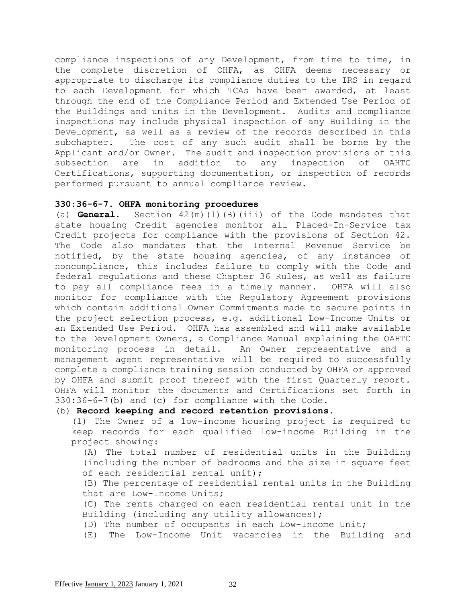compliance inspections of any Development, from time to time, in the complete discretion of OHFA, as OHFA deems necessary or appropriate to discharge its compliance duties to the IRS in regard to each Development for which TCAs have been awarded, at least through the end of the Compliance Period and Extended Use Period of the Buildings and units in the Development. Audits and compliance inspections may include physical inspection of any Building in the Development, as well as a review of the records described in this subchapter. The cost of any such audit shall be borne by the Applicant and/or Owner. The audit and inspection provisions of this subsection are in addition to any inspection of OAHTC Certifications, supporting documentation, or inspection of records performed pursuant to annual compliance review.

### **330:36-6-7. OHFA monitoring procedures**

(a) **General.** Section 42(m)(1)(B)(iii) of the Code mandates that state housing Credit agencies monitor all Placed-In-Service tax Credit projects for compliance with the provisions of Section 42. The Code also mandates that the Internal Revenue Service be notified, by the state housing agencies, of any instances of noncompliance, this includes failure to comply with the Code and federal regulations and these Chapter 36 Rules, as well as failure to pay all compliance fees in a timely manner. OHFA will also monitor for compliance with the Regulatory Agreement provisions which contain additional Owner Commitments made to secure points in the project selection process, e.g. additional Low-Income Units or an Extended Use Period. OHFA has assembled and will make available to the Development Owners**,** a Compliance Manual explaining the OAHTC monitoring process in detail. An Owner representative and a management agent representative will be required to successfully complete a compliance training session conducted by OHFA or approved by OHFA and submit proof thereof with the first Quarterly report. OHFA will monitor the documents and Certifications set forth in 330:36-6-7(b) and (c) for compliance with the Code.

# (b) **Record keeping and record retention provisions**.

(1) The Owner of a low-income housing project is required to keep records for each qualified low-income Building in the project showing:

(A) The total number of residential units in the Building (including the number of bedrooms and the size in square feet of each residential rental unit);

(B) The percentage of residential rental units in the Building that are Low-Income Units;

(C) The rents charged on each residential rental unit in the Building (including any utility allowances);

(D) The number of occupants in each Low-Income Unit;

(E) The Low-Income Unit vacancies in the Building and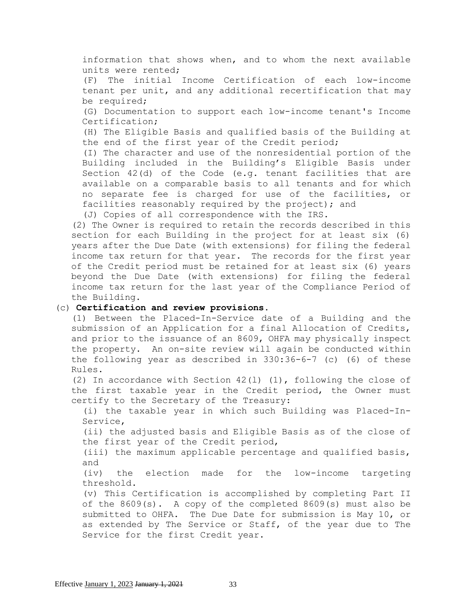information that shows when, and to whom the next available units were rented; (F) The initial Income Certification of each low-income tenant per unit, and any additional recertification that may be required; (G) Documentation to support each low-income tenant's Income Certification; (H) The Eligible Basis and qualified basis of the Building at the end of the first year of the Credit period; (I) The character and use of the nonresidential portion of the Building included in the Building's Eligible Basis under Section 42(d) of the Code (e.g. tenant facilities that are available on a comparable basis to all tenants and for which no separate fee is charged for use of the facilities, or facilities reasonably required by the project); and (J) Copies of all correspondence with the IRS.

(2) The Owner is required to retain the records described in this section for each Building in the project for at least six (6) years after the Due Date (with extensions) for filing the federal income tax return for that year. The records for the first year of the Credit period must be retained for at least six (6) years beyond the Due Date (with extensions) for filing the federal income tax return for the last year of the Compliance Period of the Building.

# (c) **Certification and review provisions.**

(1) Between the Placed-In-Service date of a Building and the submission of an Application for a final Allocation of Credits, and prior to the issuance of an 8609, OHFA may physically inspect the property. An on-site review will again be conducted within the following year as described in 330:36-6-7 (c) (6) of these Rules.

(2) In accordance with Section 42(l) (1), following the close of the first taxable year in the Credit period, the Owner must certify to the Secretary of the Treasury:

(i) the taxable year in which such Building was Placed-In-Service,

(ii) the adjusted basis and Eligible Basis as of the close of the first year of the Credit period,

(iii) the maximum applicable percentage and qualified basis, and

(iv) the election made for the low-income targeting threshold.

(v) This Certification is accomplished by completing Part II of the 8609(s). A copy of the completed 8609(s) must also be submitted to OHFA. The Due Date for submission is May 10, or as extended by The Service or Staff, of the year due to The Service for the first Credit year.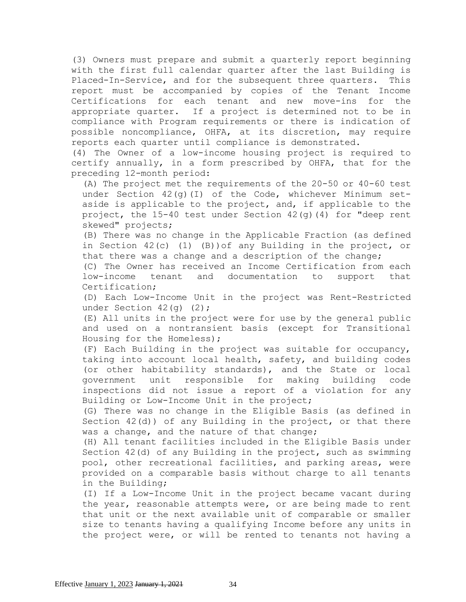(3) Owners must prepare and submit a quarterly report beginning with the first full calendar quarter after the last Building is Placed-In-Service, and for the subsequent three quarters. This report must be accompanied by copies of the Tenant Income Certifications for each tenant and new move-ins for the appropriate quarter. If a project is determined not to be in compliance with Program requirements or there is indication of possible noncompliance, OHFA, at its discretion, may require reports each quarter until compliance is demonstrated.

(4) The Owner of a low-income housing project is required to certify annually, in a form prescribed by OHFA, that for the preceding 12-month period:

(A) The project met the requirements of the 20-50 or 40-60 test under Section  $42(q)(1)$  of the Code, whichever Minimum setaside is applicable to the project, and, if applicable to the project, the  $15-40$  test under Section  $42$ (q)(4) for "deep rent skewed" projects;

(B) There was no change in the Applicable Fraction (as defined in Section 42(c) (1) (B))of any Building in the project, or that there was a change and a description of the change;

(C) The Owner has received an Income Certification from each low-income tenant and documentation to support that Certification;

(D) Each Low-Income Unit in the project was Rent-Restricted under Section 42(q) (2);

(E) All units in the project were for use by the general public and used on a nontransient basis (except for Transitional Housing for the Homeless);

(F) Each Building in the project was suitable for occupancy, taking into account local health, safety, and building codes (or other habitability standards), and the State or local government unit responsible for making building code inspections did not issue a report of a violation for any Building or Low-Income Unit in the project;

(G) There was no change in the Eligible Basis (as defined in Section 42(d)) of any Building in the project, or that there was a change, and the nature of that change;

(H) All tenant facilities included in the Eligible Basis under Section 42(d) of any Building in the project, such as swimming pool, other recreational facilities, and parking areas, were provided on a comparable basis without charge to all tenants in the Building;

(I) If a Low-Income Unit in the project became vacant during the year, reasonable attempts were, or are being made to rent that unit or the next available unit of comparable or smaller size to tenants having a qualifying Income before any units in the project were, or will be rented to tenants not having a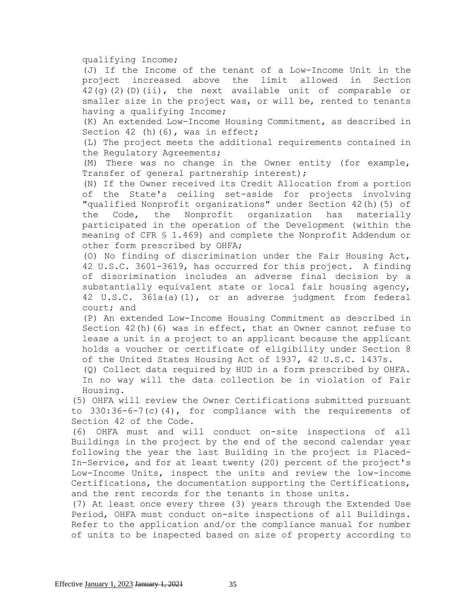#### qualifying Income;

(J) If the Income of the tenant of a Low-Income Unit in the project increased above the limit allowed in Section 42(g)(2)(D)(ii), the next available unit of comparable or smaller size in the project was, or will be, rented to tenants having a qualifying Income;

(K) An extended Low-Income Housing Commitment, as described in Section 42 (h)(6), was in effect;

(L) The project meets the additional requirements contained in the Regulatory Agreements;

(M) There was no change in the Owner entity (for example, Transfer of general partnership interest);

(N) If the Owner received its Credit Allocation from a portion of the State's ceiling set-aside for projects involving "qualified Nonprofit organizations" under Section 42(h)(5) of the Code, the Nonprofit organization has materially participated in the operation of the Development (within the meaning of CFR § 1.469) and complete the Nonprofit Addendum or other form prescribed by OHFA;

(O) No finding of discrimination under the Fair Housing Act, 42 U.S.C. 3601-3619, has occurred for this project. A finding of discrimination includes an adverse final decision by a substantially equivalent state or local fair housing agency, 42 U.S.C. 361a(a)(1), or an adverse judgment from federal court; and

(P) An extended Low-Income Housing Commitment as described in Section  $42(h)$  (6) was in effect, that an Owner cannot refuse to lease a unit in a project to an applicant because the applicant holds a voucher or certificate of eligibility under Section 8 of the United States Housing Act of 1937, 42 U.S.C. 1437s.

(Q) Collect data required by HUD in a form prescribed by OHFA. In no way will the data collection be in violation of Fair Housing.

(5) OHFA will review the Owner Certifications submitted pursuant to  $330:36-6-7(c)(4)$ , for compliance with the requirements of Section 42 of the Code.

(6) OHFA must and will conduct on-site inspections of all Buildings in the project by the end of the second calendar year following the year the last Building in the project is Placed-In-Service, and for at least twenty (20) percent of the project's Low-Income Units, inspect the units and review the low-income Certifications, the documentation supporting the Certifications, and the rent records for the tenants in those units.

(7) At least once every three (3) years through the Extended Use Period, OHFA must conduct on-site inspections of all Buildings. Refer to the application and/or the compliance manual for number of units to be inspected based on size of property according to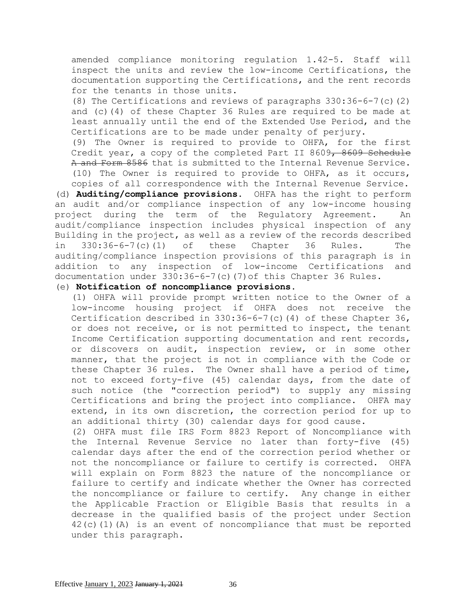amended compliance monitoring regulation 1.42-5. Staff will inspect the units and review the low-income Certifications, the documentation supporting the Certifications, and the rent records for the tenants in those units.

(8) The Certifications and reviews of paragraphs 330:36-6-7(c)(2) and (c)(4) of these Chapter 36 Rules are required to be made at least annually until the end of the Extended Use Period, and the Certifications are to be made under penalty of perjury.

(9) The Owner is required to provide to OHFA, for the first Credit year, a copy of the completed Part II 8609, 8609 Schedule A and Form 8586 that is submitted to the Internal Revenue Service. (10) The Owner is required to provide to OHFA, as it occurs, copies of all correspondence with the Internal Revenue Service.

(d) **Auditing/compliance provisions.** OHFA has the right to perform an audit and/or compliance inspection of any low-income housing project during the term of the Regulatory Agreement. An audit/compliance inspection includes physical inspection of any Building in the project, as well as a review of the records described in 330:36-6-7(c)(1) of these Chapter 36 Rules. The auditing/compliance inspection provisions of this paragraph is in addition to any inspection of low-income Certifications and documentation under 330:36-6-7(c)(7)of this Chapter 36 Rules.

## (e) **Notification of noncompliance provisions.**

(1) OHFA will provide prompt written notice to the Owner of a low-income housing project if OHFA does not receive the Certification described in  $330:36-6-7$  (c) (4) of these Chapter 36, or does not receive, or is not permitted to inspect, the tenant Income Certification supporting documentation and rent records, or discovers on audit, inspection review, or in some other manner, that the project is not in compliance with the Code or these Chapter 36 rules. The Owner shall have a period of time, not to exceed forty-five (45) calendar days, from the date of such notice (the "correction period") to supply any missing Certifications and bring the project into compliance. OHFA may extend, in its own discretion, the correction period for up to an additional thirty (30) calendar days for good cause.

(2) OHFA must file IRS Form 8823 Report of Noncompliance with the Internal Revenue Service no later than forty-five (45) calendar days after the end of the correction period whether or not the noncompliance or failure to certify is corrected. OHFA will explain on Form 8823 the nature of the noncompliance or failure to certify and indicate whether the Owner has corrected the noncompliance or failure to certify. Any change in either the Applicable Fraction or Eligible Basis that results in a decrease in the qualified basis of the project under Section 42(c)(1)(A) is an event of noncompliance that must be reported under this paragraph.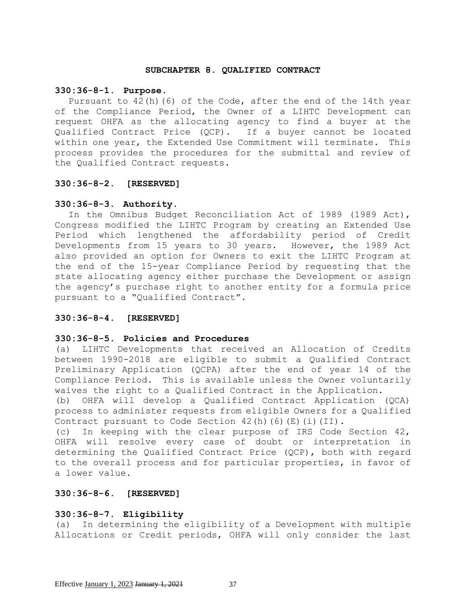#### **SUBCHAPTER 8. QUALIFIED CONTRACT**

#### **330:36-8-1. Purpose**.

Pursuant to 42(h)(6) of the Code, after the end of the 14th year of the Compliance Period, the Owner of a LIHTC Development can request OHFA as the allocating agency to find a buyer at the Qualified Contract Price (QCP). If a buyer cannot be located within one year, the Extended Use Commitment will terminate. This process provides the procedures for the submittal and review of the Qualified Contract requests.

## **330:36-8-2. [RESERVED]**

### **330:36-8-3. Authority.**

In the Omnibus Budget Reconciliation Act of 1989 (1989 Act), Congress modified the LIHTC Program by creating an Extended Use Period which lengthened the affordability period of Credit Developments from 15 years to 30 years. However, the 1989 Act also provided an option for Owners to exit the LIHTC Program at the end of the 15-year Compliance Period by requesting that the state allocating agency either purchase the Development or assign the agency's purchase right to another entity for a formula price pursuant to a "Qualified Contract".

### **330:36-8-4. [RESERVED]**

### **330:36-8-5. Policies and Procedures**

(a) LIHTC Developments that received an Allocation of Credits between 1990-2018 are eligible to submit a Qualified Contract Preliminary Application (QCPA) after the end of year 14 of the Compliance Period. This is available unless the Owner voluntarily waives the right to a Qualified Contract in the Application.

(b) OHFA will develop a Qualified Contract Application (QCA) process to administer requests from eligible Owners for a Qualified Contract pursuant to Code Section  $42(h)$  (6)(E)(i)(II).

(c) In keeping with the clear purpose of IRS Code Section 42, OHFA will resolve every case of doubt or interpretation in determining the Qualified Contract Price (QCP), both with regard to the overall process and for particular properties, in favor of a lower value.

# **330:36-8-6. [RESERVED]**

### **330:36-8-7. Eligibility**

(a) In determining the eligibility of a Development with multiple Allocations or Credit periods, OHFA will only consider the last